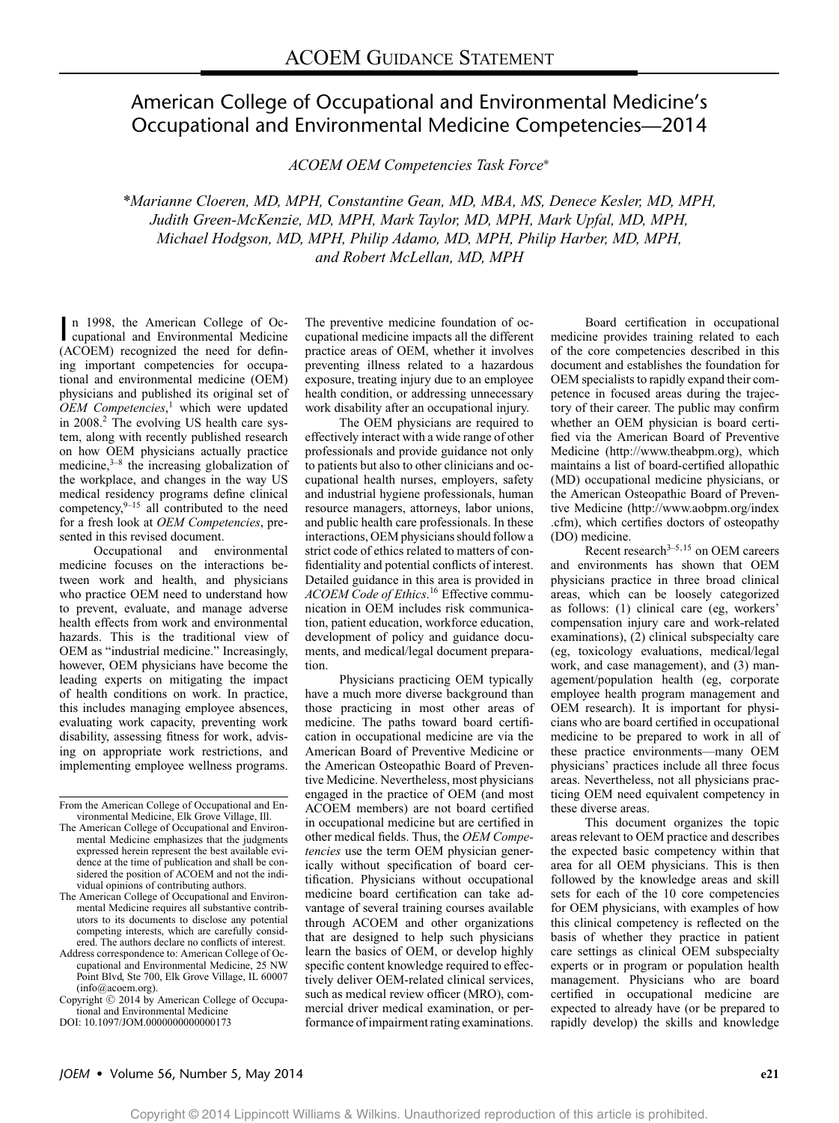# American College of Occupational and Environmental Medicine's Occupational and Environmental Medicine Competencies—2014

*ACOEM OEM Competencies Task Force*<sup>∗</sup>

*\*Marianne Cloeren, MD, MPH, Constantine Gean, MD, MBA, MS, Denece Kesler, MD, MPH, Judith Green-McKenzie, MD, MPH, Mark Taylor, MD, MPH, Mark Upfal, MD, MPH, Michael Hodgson, MD, MPH, Philip Adamo, MD, MPH, Philip Harber, MD, MPH, and Robert McLellan, MD, MPH*

In 1998, the American College of Oc-<br>cupational and Environmental Medicine n 1998, the American College of Oc-(ACOEM) recognized the need for defining important competencies for occupational and environmental medicine (OEM) physicians and published its original set of *OEM Competencies*, <sup>1</sup> which were updated in 2008.<sup>2</sup> The evolving US health care system, along with recently published research on how OEM physicians actually practice medicine,3–8 the increasing globalization of the workplace, and changes in the way US medical residency programs define clinical competency, $9-15$  all contributed to the need for a fresh look at *OEM Competencies*, presented in this revised document.

Occupational and environmental medicine focuses on the interactions between work and health, and physicians who practice OEM need to understand how to prevent, evaluate, and manage adverse health effects from work and environmental hazards. This is the traditional view of OEM as "industrial medicine." Increasingly, however, OEM physicians have become the leading experts on mitigating the impact of health conditions on work. In practice, this includes managing employee absences, evaluating work capacity, preventing work disability, assessing fitness for work, advising on appropriate work restrictions, and implementing employee wellness programs.

- The American College of Occupational and Environmental Medicine requires all substantive contributors to its documents to disclose any potential competing interests, which are carefully considered. The authors declare no conflicts of interest.
- Address correspondence to: American College of Occupational and Environmental Medicine, 25 NW Point Blvd, Ste 700, Elk Grove Village, IL 60007 [\(info@acoem.org\)](mailto:info@acoem.org).
- Copyright  $\odot$  2014 by American College of Occupational and Environmental Medicine

The preventive medicine foundation of occupational medicine impacts all the different practice areas of OEM, whether it involves preventing illness related to a hazardous exposure, treating injury due to an employee health condition, or addressing unnecessary work disability after an occupational injury.

The OEM physicians are required to effectively interact with a wide range of other professionals and provide guidance not only to patients but also to other clinicians and occupational health nurses, employers, safety and industrial hygiene professionals, human resource managers, attorneys, labor unions, and public health care professionals. In these interactions, OEM physicians should follow a strict code of ethics related to matters of confidentiality and potential conflicts of interest. Detailed guidance in this area is provided in *ACOEM Code of Ethics*. <sup>16</sup> Effective communication in OEM includes risk communication, patient education, workforce education, development of policy and guidance documents, and medical/legal document preparation.

Physicians practicing OEM typically have a much more diverse background than those practicing in most other areas of medicine. The paths toward board certification in occupational medicine are via the American Board of Preventive Medicine or the American Osteopathic Board of Preventive Medicine. Nevertheless, most physicians engaged in the practice of OEM (and most ACOEM members) are not board certified in occupational medicine but are certified in other medical fields. Thus, the *OEM Competencies* use the term OEM physician generically without specification of board certification. Physicians without occupational medicine board certification can take advantage of several training courses available through ACOEM and other organizations that are designed to help such physicians learn the basics of OEM, or develop highly specific content knowledge required to effectively deliver OEM-related clinical services, such as medical review officer (MRO), commercial driver medical examination, or performance of impairment rating examinations.

Board certification in occupational medicine provides training related to each of the core competencies described in this document and establishes the foundation for OEM specialists to rapidly expand their competence in focused areas during the trajectory of their career. The public may confirm whether an OEM physician is board certified via the American Board of Preventive Medicine [\(http://www.theabpm.org\)](http://www.theabpm.org), which maintains a list of board-certified allopathic (MD) occupational medicine physicians, or the American Osteopathic Board of Preventive Medicine [\(http://www.aobpm.org/index](http://www.aobpm.org/index.cfm) [.cfm\)](http://www.aobpm.org/index.cfm), which certifies doctors of osteopathy (DO) medicine.

Recent research $3-5,15$  on OEM careers and environments has shown that OEM physicians practice in three broad clinical areas, which can be loosely categorized as follows: (1) clinical care (eg, workers' compensation injury care and work-related examinations), (2) clinical subspecialty care (eg, toxicology evaluations, medical/legal work, and case management), and (3) management/population health (eg, corporate employee health program management and OEM research). It is important for physicians who are board certified in occupational medicine to be prepared to work in all of these practice environments—many OEM physicians' practices include all three focus areas. Nevertheless, not all physicians practicing OEM need equivalent competency in these diverse areas.

This document organizes the topic areas relevant to OEM practice and describes the expected basic competency within that area for all OEM physicians. This is then followed by the knowledge areas and skill sets for each of the 10 core competencies for OEM physicians, with examples of how this clinical competency is reflected on the basis of whether they practice in patient care settings as clinical OEM subspecialty experts or in program or population health management. Physicians who are board certified in occupational medicine are expected to already have (or be prepared to rapidly develop) the skills and knowledge

From the American College of Occupational and Environmental Medicine, Elk Grove Village, Ill.

The American College of Occupational and Environmental Medicine emphasizes that the judgments expressed herein represent the best available evidence at the time of publication and shall be considered the position of ACOEM and not the individual opinions of contributing authors.

DOI: 10.1097/JOM.0000000000000173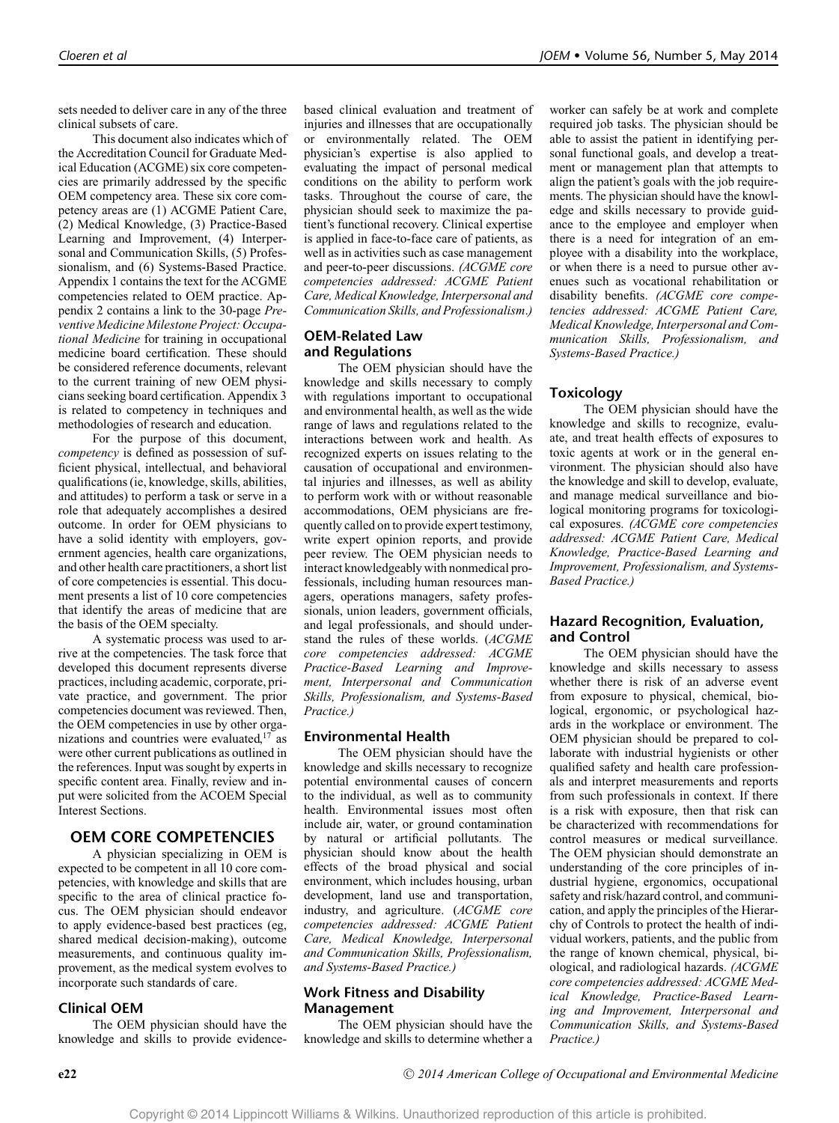sets needed to deliver care in any of the three clinical subsets of care.

This document also indicates which of the Accreditation Council for Graduate Medical Education (ACGME) six core competencies are primarily addressed by the specific OEM competency area. These six core competency areas are (1) ACGME Patient Care, (2) Medical Knowledge, (3) Practice-Based Learning and Improvement, (4) Interpersonal and Communication Skills, (5) Professionalism, and (6) Systems-Based Practice. Appendix 1 contains the text for the ACGME competencies related to OEM practice. Appendix 2 contains a link to the 30-page *Preventive Medicine Milestone Project: Occupational Medicine* for training in occupational medicine board certification. These should be considered reference documents, relevant to the current training of new OEM physicians seeking board certification. Appendix 3 is related to competency in techniques and methodologies of research and education.

For the purpose of this document, *competency* is defined as possession of sufficient physical, intellectual, and behavioral qualifications (ie, knowledge, skills, abilities, and attitudes) to perform a task or serve in a role that adequately accomplishes a desired outcome. In order for OEM physicians to have a solid identity with employers, government agencies, health care organizations, and other health care practitioners, a short list of core competencies is essential. This document presents a list of 10 core competencies that identify the areas of medicine that are the basis of the OEM specialty.

A systematic process was used to arrive at the competencies. The task force that developed this document represents diverse practices, including academic, corporate, private practice, and government. The prior competencies document was reviewed. Then, the OEM competencies in use by other organizations and countries were evaluated, $17$  as were other current publications as outlined in the references. Input was sought by experts in specific content area. Finally, review and input were solicited from the ACOEM Special Interest Sections.

### **OEM CORE COMPETENCIES**

A physician specializing in OEM is expected to be competent in all 10 core competencies, with knowledge and skills that are specific to the area of clinical practice focus. The OEM physician should endeavor to apply evidence-based best practices (eg, shared medical decision-making), outcome measurements, and continuous quality improvement, as the medical system evolves to incorporate such standards of care.

#### **Clinical OEM**

The OEM physician should have the knowledge and skills to provide evidencebased clinical evaluation and treatment of injuries and illnesses that are occupationally or environmentally related. The OEM physician's expertise is also applied to evaluating the impact of personal medical conditions on the ability to perform work tasks. Throughout the course of care, the physician should seek to maximize the patient's functional recovery. Clinical expertise is applied in face-to-face care of patients, as well as in activities such as case management and peer-to-peer discussions. *(ACGME core competencies addressed: ACGME Patient Care, Medical Knowledge, Interpersonal and Communication Skills, and Professionalism*.*)*

#### **OEM-Related Law and Regulations**

The OEM physician should have the knowledge and skills necessary to comply with regulations important to occupational and environmental health, as well as the wide range of laws and regulations related to the interactions between work and health. As recognized experts on issues relating to the causation of occupational and environmental injuries and illnesses, as well as ability to perform work with or without reasonable accommodations, OEM physicians are frequently called on to provide expert testimony, write expert opinion reports, and provide peer review. The OEM physician needs to interact knowledgeably with nonmedical professionals, including human resources managers, operations managers, safety professionals, union leaders, government officials, and legal professionals, and should understand the rules of these worlds. (*ACGME core competencies addressed: ACGME Practice-Based Learning and Improvement, Interpersonal and Communication Skills, Professionalism, and Systems-Based Practice.)*

#### **Environmental Health**

The OEM physician should have the knowledge and skills necessary to recognize potential environmental causes of concern to the individual, as well as to community health. Environmental issues most often include air, water, or ground contamination by natural or artificial pollutants. The physician should know about the health effects of the broad physical and social environment, which includes housing, urban development, land use and transportation, industry, and agriculture. (*ACGME core competencies addressed: ACGME Patient Care, Medical Knowledge, Interpersonal and Communication Skills, Professionalism, and Systems-Based Practice.)*

### **Work Fitness and Disability Management**

The OEM physician should have the knowledge and skills to determine whether a

worker can safely be at work and complete required job tasks. The physician should be able to assist the patient in identifying personal functional goals, and develop a treatment or management plan that attempts to align the patient's goals with the job requirements. The physician should have the knowledge and skills necessary to provide guidance to the employee and employer when there is a need for integration of an employee with a disability into the workplace, or when there is a need to pursue other avenues such as vocational rehabilitation or disability benefits. *(ACGME core competencies addressed: ACGME Patient Care, Medical Knowledge, Interpersonal and Communication Skills, Professionalism, and Systems-Based Practice.)*

### **Toxicology**

The OEM physician should have the knowledge and skills to recognize, evaluate, and treat health effects of exposures to toxic agents at work or in the general environment. The physician should also have the knowledge and skill to develop, evaluate, and manage medical surveillance and biological monitoring programs for toxicological exposures. *(ACGME core competencies addressed: ACGME Patient Care, Medical Knowledge, Practice-Based Learning and Improvement, Professionalism, and Systems-Based Practice.)*

### **Hazard Recognition, Evaluation, and Control**

The OEM physician should have the knowledge and skills necessary to assess whether there is risk of an adverse event from exposure to physical, chemical, biological, ergonomic, or psychological hazards in the workplace or environment. The OEM physician should be prepared to collaborate with industrial hygienists or other qualified safety and health care professionals and interpret measurements and reports from such professionals in context. If there is a risk with exposure, then that risk can be characterized with recommendations for control measures or medical surveillance. The OEM physician should demonstrate an understanding of the core principles of industrial hygiene, ergonomics, occupational safety and risk/hazard control, and communication, and apply the principles of the Hierarchy of Controls to protect the health of individual workers, patients, and the public from the range of known chemical, physical, biological, and radiological hazards. *(ACGME core competencies addressed: ACGME Medical Knowledge, Practice-Based Learning and Improvement, Interpersonal and Communication Skills, and Systems-Based Practice.)*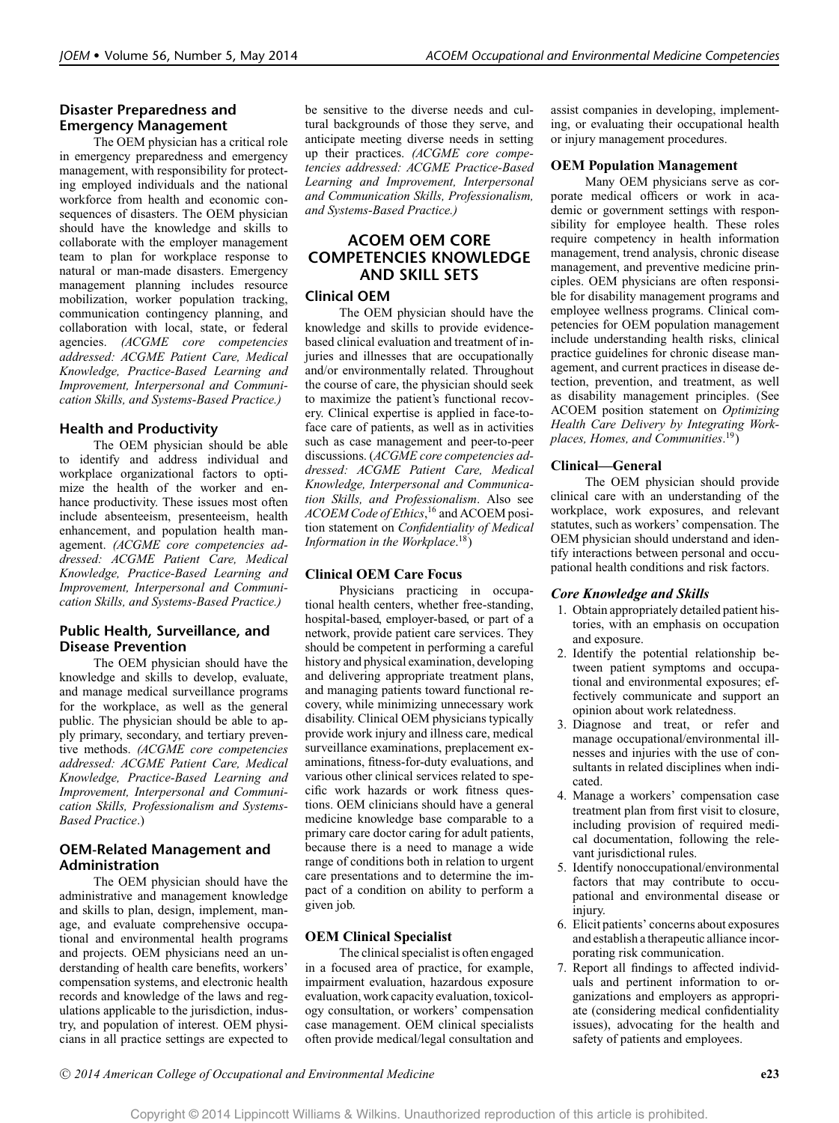# **Disaster Preparedness and Emergency Management**

The OEM physician has a critical role in emergency preparedness and emergency management, with responsibility for protecting employed individuals and the national workforce from health and economic consequences of disasters. The OEM physician should have the knowledge and skills to collaborate with the employer management team to plan for workplace response to natural or man-made disasters. Emergency management planning includes resource mobilization, worker population tracking, communication contingency planning, and collaboration with local, state, or federal agencies. *(ACGME core competencies addressed: ACGME Patient Care, Medical Knowledge, Practice-Based Learning and Improvement, Interpersonal and Communication Skills, and Systems-Based Practice.)*

# **Health and Productivity**

The OEM physician should be able to identify and address individual and workplace organizational factors to optimize the health of the worker and enhance productivity. These issues most often include absenteeism, presenteeism, health enhancement, and population health management. *(ACGME core competencies addressed: ACGME Patient Care, Medical Knowledge, Practice-Based Learning and Improvement, Interpersonal and Communication Skills, and Systems-Based Practice.)*

## **Public Health, Surveillance, and Disease Prevention**

The OEM physician should have the knowledge and skills to develop, evaluate, and manage medical surveillance programs for the workplace, as well as the general public. The physician should be able to apply primary, secondary, and tertiary preventive methods. *(ACGME core competencies addressed: ACGME Patient Care, Medical Knowledge, Practice-Based Learning and Improvement, Interpersonal and Communication Skills, Professionalism and Systems-Based Practice*.)

### **OEM-Related Management and Administration**

The OEM physician should have the administrative and management knowledge and skills to plan, design, implement, manage, and evaluate comprehensive occupational and environmental health programs and projects. OEM physicians need an understanding of health care benefits, workers' compensation systems, and electronic health records and knowledge of the laws and regulations applicable to the jurisdiction, industry, and population of interest. OEM physicians in all practice settings are expected to

be sensitive to the diverse needs and cultural backgrounds of those they serve, and anticipate meeting diverse needs in setting up their practices. *(ACGME core competencies addressed: ACGME Practice-Based Learning and Improvement, Interpersonal and Communication Skills, Professionalism, and Systems-Based Practice.)*

# **ACOEM OEM CORE COMPETENCIES KNOWLEDGE AND SKILL SETS**

## **Clinical OEM**

The OEM physician should have the knowledge and skills to provide evidencebased clinical evaluation and treatment of injuries and illnesses that are occupationally and/or environmentally related. Throughout the course of care, the physician should seek to maximize the patient's functional recovery. Clinical expertise is applied in face-toface care of patients, as well as in activities such as case management and peer-to-peer discussions. (*ACGME core competencies addressed: ACGME Patient Care, Medical Knowledge, Interpersonal and Communication Skills, and Professionalism*. Also see *ACOEM Code of Ethics*, <sup>16</sup> and ACOEM position statement on *Confidentiality of Medical Information in the Workplace*. 18)

### **Clinical OEM Care Focus**

Physicians practicing in occupational health centers, whether free-standing, hospital-based, employer-based, or part of a network, provide patient care services. They should be competent in performing a careful history and physical examination, developing and delivering appropriate treatment plans, and managing patients toward functional recovery, while minimizing unnecessary work disability. Clinical OEM physicians typically provide work injury and illness care, medical surveillance examinations, preplacement examinations, fitness-for-duty evaluations, and various other clinical services related to specific work hazards or work fitness questions. OEM clinicians should have a general medicine knowledge base comparable to a primary care doctor caring for adult patients, because there is a need to manage a wide range of conditions both in relation to urgent care presentations and to determine the impact of a condition on ability to perform a given job.

### **OEM Clinical Specialist**

The clinical specialist is often engaged in a focused area of practice, for example, impairment evaluation, hazardous exposure evaluation, work capacity evaluation, toxicology consultation, or workers' compensation case management. OEM clinical specialists often provide medical/legal consultation and

assist companies in developing, implementing, or evaluating their occupational health or injury management procedures.

### **OEM Population Management**

Many OEM physicians serve as corporate medical officers or work in academic or government settings with responsibility for employee health. These roles require competency in health information management, trend analysis, chronic disease management, and preventive medicine principles. OEM physicians are often responsible for disability management programs and employee wellness programs. Clinical competencies for OEM population management include understanding health risks, clinical practice guidelines for chronic disease management, and current practices in disease detection, prevention, and treatment, as well as disability management principles. (See ACOEM position statement on *Optimizing Health Care Delivery by Integrating Workplaces, Homes, and Communities*. 19)

### **Clinical—General**

The OEM physician should provide clinical care with an understanding of the workplace, work exposures, and relevant statutes, such as workers' compensation. The OEM physician should understand and identify interactions between personal and occupational health conditions and risk factors.

- 1. Obtain appropriately detailed patient histories, with an emphasis on occupation and exposure.
- 2. Identify the potential relationship between patient symptoms and occupational and environmental exposures; effectively communicate and support an opinion about work relatedness.
- 3. Diagnose and treat, or refer and manage occupational/environmental illnesses and injuries with the use of consultants in related disciplines when indicated.
- 4. Manage a workers' compensation case treatment plan from first visit to closure, including provision of required medical documentation, following the relevant jurisdictional rules.
- 5. Identify nonoccupational/environmental factors that may contribute to occupational and environmental disease or iniury
- 6. Elicit patients' concerns about exposures and establish a therapeutic alliance incorporating risk communication.
- 7. Report all findings to affected individuals and pertinent information to organizations and employers as appropriate (considering medical confidentiality issues), advocating for the health and safety of patients and employees.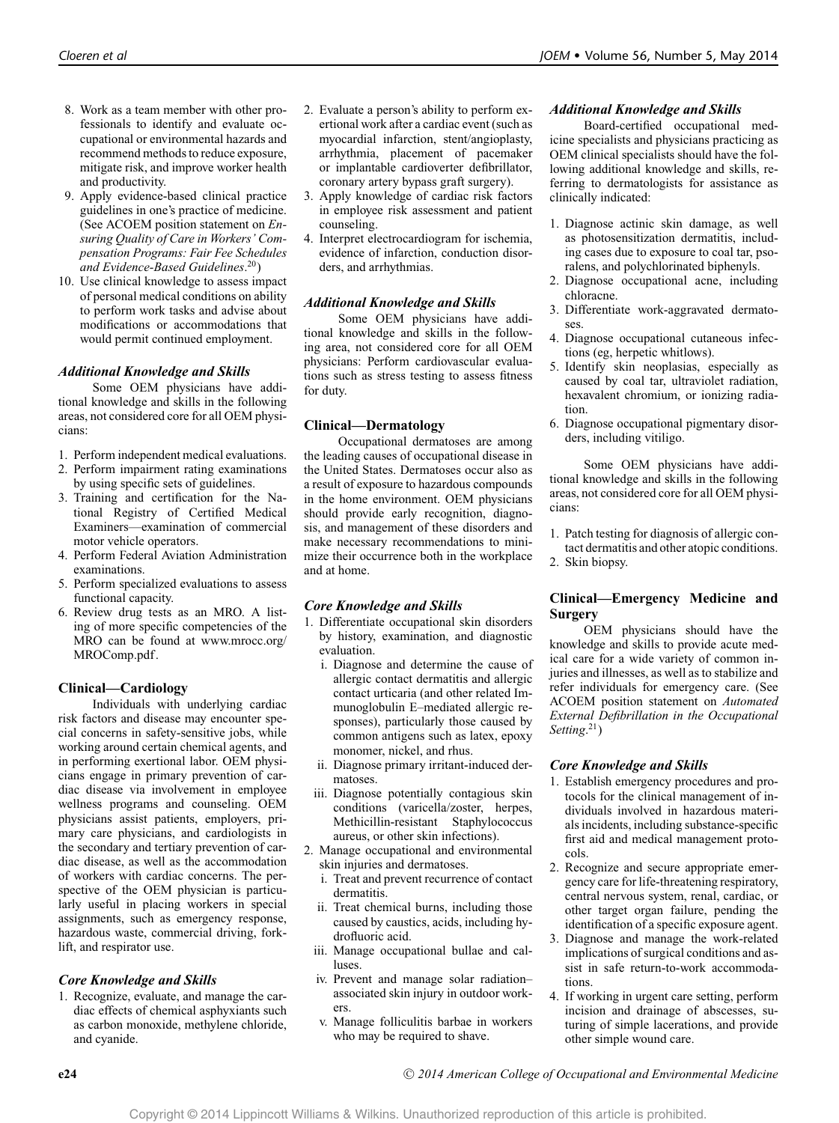- 8. Work as a team member with other professionals to identify and evaluate occupational or environmental hazards and recommend methods to reduce exposure, mitigate risk, and improve worker health and productivity.
- 9. Apply evidence-based clinical practice guidelines in one's practice of medicine. (See ACOEM position statement on *Ensuring Quality of Care in Workers' Compensation Programs: Fair Fee Schedules and Evidence-Based Guidelines*. 20)
- 10. Use clinical knowledge to assess impact of personal medical conditions on ability to perform work tasks and advise about modifications or accommodations that would permit continued employment.

### *Additional Knowledge and Skills*

Some OEM physicians have additional knowledge and skills in the following areas, not considered core for all OEM physicians:

- 1. Perform independent medical evaluations.
- 2. Perform impairment rating examinations by using specific sets of guidelines.
- 3. Training and certification for the National Registry of Certified Medical Examiners—examination of commercial motor vehicle operators.
- 4. Perform Federal Aviation Administration examinations.
- 5. Perform specialized evaluations to assess functional capacity.
- 6. Review drug tests as an MRO. A listing of more specific competencies of the MRO can be found at [www.mrocc.org/](www.mrocc.org/MROComp.pdf) [MROComp.pdf.](www.mrocc.org/MROComp.pdf)

#### **Clinical—Cardiology**

Individuals with underlying cardiac risk factors and disease may encounter special concerns in safety-sensitive jobs, while working around certain chemical agents, and in performing exertional labor. OEM physicians engage in primary prevention of cardiac disease via involvement in employee wellness programs and counseling. OEM physicians assist patients, employers, primary care physicians, and cardiologists in the secondary and tertiary prevention of cardiac disease, as well as the accommodation of workers with cardiac concerns. The perspective of the OEM physician is particularly useful in placing workers in special assignments, such as emergency response, hazardous waste, commercial driving, forklift, and respirator use.

#### *Core Knowledge and Skills*

1. Recognize, evaluate, and manage the cardiac effects of chemical asphyxiants such as carbon monoxide, methylene chloride, and cyanide.

- 2. Evaluate a person's ability to perform exertional work after a cardiac event (such as myocardial infarction, stent/angioplasty, arrhythmia, placement of pacemaker or implantable cardioverter defibrillator, coronary artery bypass graft surgery).
- 3. Apply knowledge of cardiac risk factors in employee risk assessment and patient counseling.
- 4. Interpret electrocardiogram for ischemia, evidence of infarction, conduction disorders, and arrhythmias.

### *Additional Knowledge and Skills*

Some OEM physicians have additional knowledge and skills in the following area, not considered core for all OEM physicians: Perform cardiovascular evaluations such as stress testing to assess fitness for duty.

#### **Clinical—Dermatology**

Occupational dermatoses are among the leading causes of occupational disease in the United States. Dermatoses occur also as a result of exposure to hazardous compounds in the home environment. OEM physicians should provide early recognition, diagnosis, and management of these disorders and make necessary recommendations to minimize their occurrence both in the workplace and at home.

#### *Core Knowledge and Skills*

- 1. Differentiate occupational skin disorders by history, examination, and diagnostic evaluation.
	- i. Diagnose and determine the cause of allergic contact dermatitis and allergic contact urticaria (and other related Immunoglobulin E–mediated allergic responses), particularly those caused by common antigens such as latex, epoxy monomer, nickel, and rhus.
	- ii. Diagnose primary irritant-induced dermatoses.
	- iii. Diagnose potentially contagious skin conditions (varicella/zoster, herpes, Methicillin-resistant Staphylococcus aureus, or other skin infections).
- 2. Manage occupational and environmental skin injuries and dermatoses.
	- i. Treat and prevent recurrence of contact dermatitis.
	- ii. Treat chemical burns, including those caused by caustics, acids, including hydrofluoric acid.
- iii. Manage occupational bullae and calluses.
- iv. Prevent and manage solar radiation– associated skin injury in outdoor workers.
- v. Manage folliculitis barbae in workers who may be required to shave.

#### *Additional Knowledge and Skills*

Board-certified occupational medicine specialists and physicians practicing as OEM clinical specialists should have the following additional knowledge and skills, referring to dermatologists for assistance as clinically indicated:

- 1. Diagnose actinic skin damage, as well as photosensitization dermatitis, including cases due to exposure to coal tar, psoralens, and polychlorinated biphenyls.
- 2. Diagnose occupational acne, including chloracne.
- 3. Differentiate work-aggravated dermatoses.
- 4. Diagnose occupational cutaneous infections (eg, herpetic whitlows).
- 5. Identify skin neoplasias, especially as caused by coal tar, ultraviolet radiation, hexavalent chromium, or ionizing radiation.
- 6. Diagnose occupational pigmentary disorders, including vitiligo.

Some OEM physicians have additional knowledge and skills in the following areas, not considered core for all OEM physicians:

1. Patch testing for diagnosis of allergic contact dermatitis and other atopic conditions. 2. Skin biopsy.

### **Clinical—Emergency Medicine and Surgery**

OEM physicians should have the knowledge and skills to provide acute medical care for a wide variety of common injuries and illnesses, as well as to stabilize and refer individuals for emergency care. (See ACOEM position statement on *Automated External Defibrillation in the Occupational Setting*. 21)

- 1. Establish emergency procedures and protocols for the clinical management of individuals involved in hazardous materials incidents, including substance-specific first aid and medical management protocols.
- 2. Recognize and secure appropriate emergency care for life-threatening respiratory, central nervous system, renal, cardiac, or other target organ failure, pending the identification of a specific exposure agent.
- 3. Diagnose and manage the work-related implications of surgical conditions and assist in safe return-to-work accommodations.
- 4. If working in urgent care setting, perform incision and drainage of abscesses, suturing of simple lacerations, and provide other simple wound care.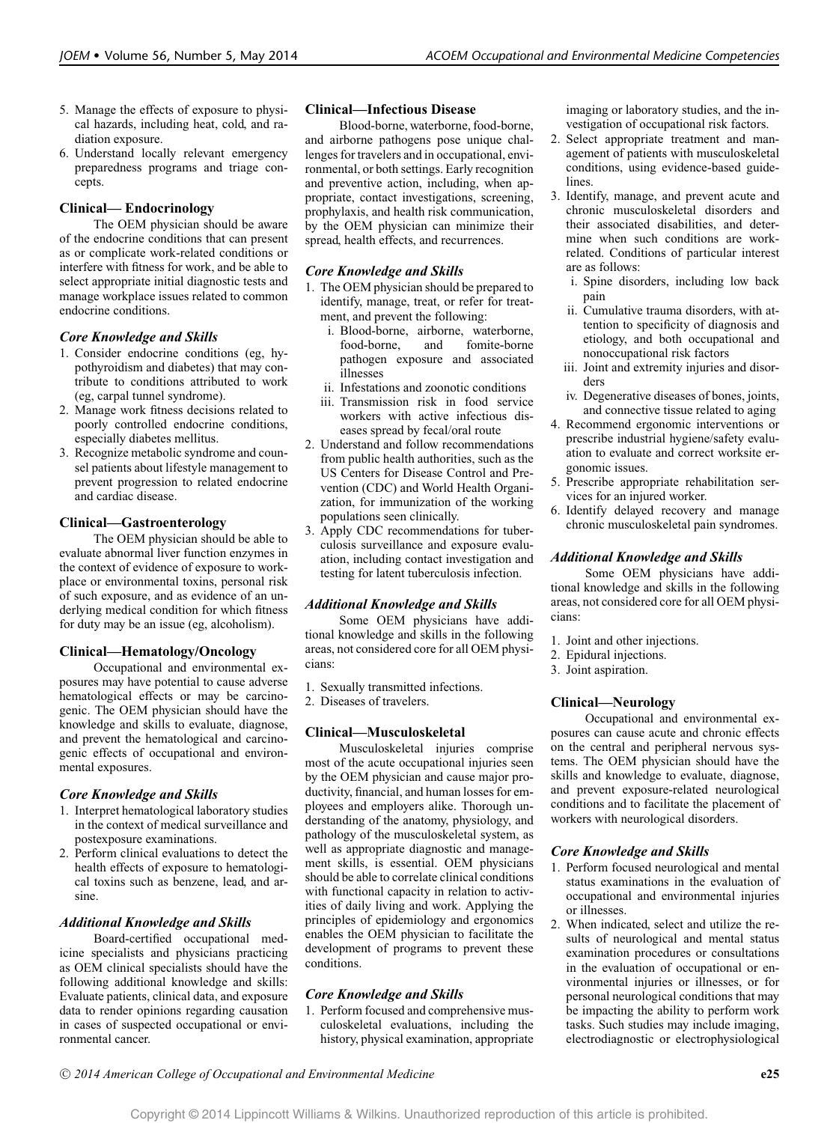- 5. Manage the effects of exposure to physical hazards, including heat, cold, and radiation exposure.
- 6. Understand locally relevant emergency preparedness programs and triage concepts.

### **Clinical— Endocrinology**

The OEM physician should be aware of the endocrine conditions that can present as or complicate work-related conditions or interfere with fitness for work, and be able to select appropriate initial diagnostic tests and manage workplace issues related to common endocrine conditions.

### *Core Knowledge and Skills*

- 1. Consider endocrine conditions (eg, hypothyroidism and diabetes) that may contribute to conditions attributed to work (eg, carpal tunnel syndrome).
- 2. Manage work fitness decisions related to poorly controlled endocrine conditions, especially diabetes mellitus.
- 3. Recognize metabolic syndrome and counsel patients about lifestyle management to prevent progression to related endocrine and cardiac disease.

### **Clinical—Gastroenterology**

The OEM physician should be able to evaluate abnormal liver function enzymes in the context of evidence of exposure to workplace or environmental toxins, personal risk of such exposure, and as evidence of an underlying medical condition for which fitness for duty may be an issue (eg, alcoholism).

#### **Clinical—Hematology/Oncology**

Occupational and environmental exposures may have potential to cause adverse hematological effects or may be carcinogenic. The OEM physician should have the knowledge and skills to evaluate, diagnose, and prevent the hematological and carcinogenic effects of occupational and environmental exposures.

#### *Core Knowledge and Skills*

- 1. Interpret hematological laboratory studies in the context of medical surveillance and postexposure examinations.
- 2. Perform clinical evaluations to detect the health effects of exposure to hematological toxins such as benzene, lead, and arsine.

### *Additional Knowledge and Skills*

Board-certified occupational medicine specialists and physicians practicing as OEM clinical specialists should have the following additional knowledge and skills: Evaluate patients, clinical data, and exposure data to render opinions regarding causation in cases of suspected occupational or environmental cancer.

### **Clinical—Infectious Disease**

Blood-borne, waterborne, food-borne, and airborne pathogens pose unique challenges for travelers and in occupational, environmental, or both settings. Early recognition and preventive action, including, when appropriate, contact investigations, screening, prophylaxis, and health risk communication, by the OEM physician can minimize their spread, health effects, and recurrences.

#### *Core Knowledge and Skills*

- 1. The OEM physician should be prepared to identify, manage, treat, or refer for treatment, and prevent the following:
	- i. Blood-borne, airborne, waterborne, food-borne, and fomite-borne pathogen exposure and associated illnesses
	- ii. Infestations and zoonotic conditions
	- iii. Transmission risk in food service workers with active infectious diseases spread by fecal/oral route
- 2. Understand and follow recommendations from public health authorities, such as the US Centers for Disease Control and Prevention (CDC) and World Health Organization, for immunization of the working populations seen clinically.
- Apply CDC recommendations for tuberculosis surveillance and exposure evaluation, including contact investigation and testing for latent tuberculosis infection.

#### *Additional Knowledge and Skills*

Some OEM physicians have additional knowledge and skills in the following areas, not considered core for all OEM physicians:

- 1. Sexually transmitted infections.
- 2. Diseases of travelers.

### **Clinical—Musculoskeletal**

Musculoskeletal injuries comprise most of the acute occupational injuries seen by the OEM physician and cause major productivity, financial, and human losses for employees and employers alike. Thorough understanding of the anatomy, physiology, and pathology of the musculoskeletal system, as well as appropriate diagnostic and management skills, is essential. OEM physicians should be able to correlate clinical conditions with functional capacity in relation to activities of daily living and work. Applying the principles of epidemiology and ergonomics enables the OEM physician to facilitate the development of programs to prevent these conditions.

#### *Core Knowledge and Skills*

1. Perform focused and comprehensive musculoskeletal evaluations, including the history, physical examination, appropriate imaging or laboratory studies, and the investigation of occupational risk factors.

- 2. Select appropriate treatment and management of patients with musculoskeletal conditions, using evidence-based guidelines.
- 3. Identify, manage, and prevent acute and chronic musculoskeletal disorders and their associated disabilities, and determine when such conditions are workrelated. Conditions of particular interest are as follows:
	- i. Spine disorders, including low back pain
	- ii. Cumulative trauma disorders, with attention to specificity of diagnosis and etiology, and both occupational and nonoccupational risk factors
	- iii. Joint and extremity injuries and disorders
	- iv. Degenerative diseases of bones, joints, and connective tissue related to aging
- 4. Recommend ergonomic interventions or prescribe industrial hygiene/safety evaluation to evaluate and correct worksite ergonomic issues.
- 5. Prescribe appropriate rehabilitation services for an injured worker.
- 6. Identify delayed recovery and manage chronic musculoskeletal pain syndromes.

#### *Additional Knowledge and Skills*

Some OEM physicians have additional knowledge and skills in the following areas, not considered core for all OEM physicians:

- 1. Joint and other injections.
- 2. Epidural injections.
- 3. Joint aspiration.

# **Clinical—Neurology**

Occupational and environmental exposures can cause acute and chronic effects on the central and peripheral nervous systems. The OEM physician should have the skills and knowledge to evaluate, diagnose, and prevent exposure-related neurological conditions and to facilitate the placement of workers with neurological disorders.

- 1. Perform focused neurological and mental status examinations in the evaluation of occupational and environmental injuries or illnesses.
- 2. When indicated, select and utilize the results of neurological and mental status examination procedures or consultations in the evaluation of occupational or environmental injuries or illnesses, or for personal neurological conditions that may be impacting the ability to perform work tasks. Such studies may include imaging, electrodiagnostic or electrophysiological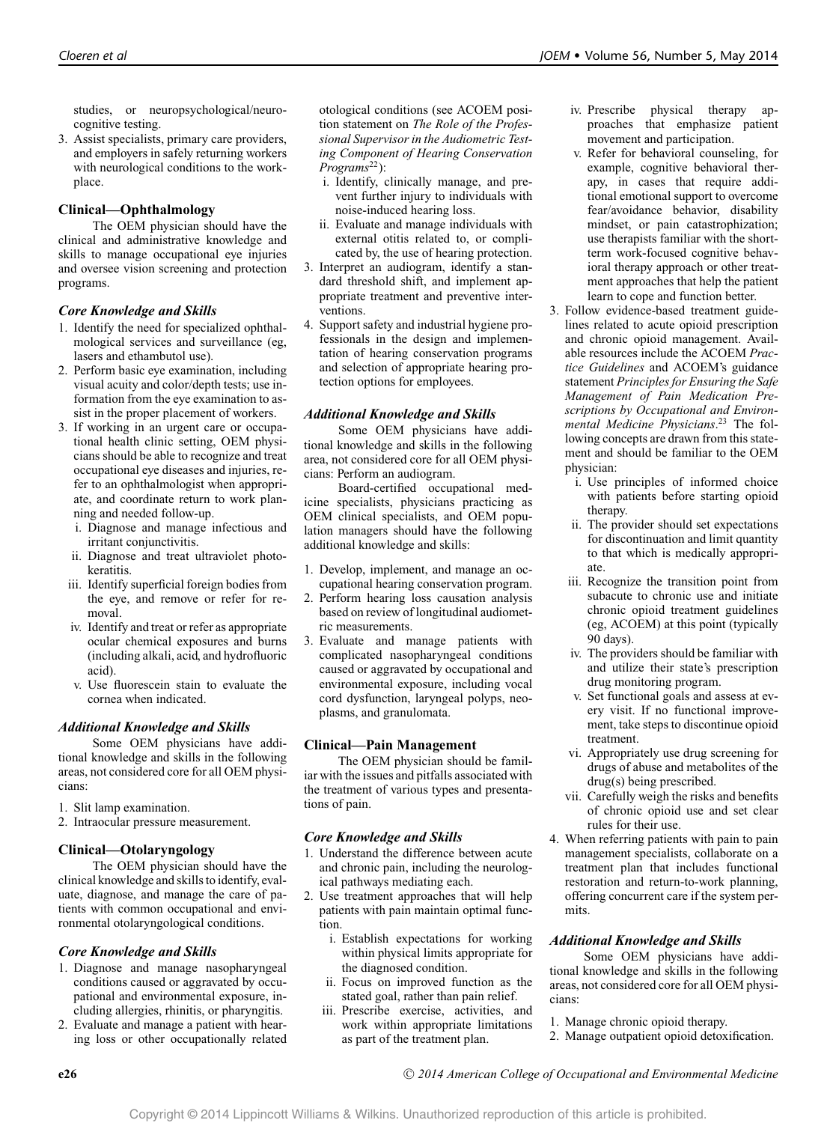studies, or neuropsychological/neurocognitive testing.

3. Assist specialists, primary care providers, and employers in safely returning workers with neurological conditions to the workplace.

### **Clinical—Ophthalmology**

The OEM physician should have the clinical and administrative knowledge and skills to manage occupational eye injuries and oversee vision screening and protection programs.

#### *Core Knowledge and Skills*

- 1. Identify the need for specialized ophthalmological services and surveillance (eg, lasers and ethambutol use).
- 2. Perform basic eye examination, including visual acuity and color/depth tests; use information from the eye examination to assist in the proper placement of workers.
- 3. If working in an urgent care or occupational health clinic setting, OEM physicians should be able to recognize and treat occupational eye diseases and injuries, refer to an ophthalmologist when appropriate, and coordinate return to work planning and needed follow-up.
	- i. Diagnose and manage infectious and irritant conjunctivitis.
	- ii. Diagnose and treat ultraviolet photokeratitis.
	- iii. Identify superficial foreign bodies from the eye, and remove or refer for removal.
	- iv. Identify and treat or refer as appropriate ocular chemical exposures and burns (including alkali, acid, and hydrofluoric acid).
	- v. Use fluorescein stain to evaluate the cornea when indicated.

#### *Additional Knowledge and Skills*

Some OEM physicians have additional knowledge and skills in the following areas, not considered core for all OEM physicians:

- 1. Slit lamp examination.
- 2. Intraocular pressure measurement.

#### **Clinical—Otolaryngology**

The OEM physician should have the clinical knowledge and skills to identify, evaluate, diagnose, and manage the care of patients with common occupational and environmental otolaryngological conditions.

#### *Core Knowledge and Skills*

- 1. Diagnose and manage nasopharyngeal conditions caused or aggravated by occupational and environmental exposure, including allergies, rhinitis, or pharyngitis.
- 2. Evaluate and manage a patient with hearing loss or other occupationally related

otological conditions (see ACOEM position statement on *The Role of the Professional Supervisor in the Audiometric Testing Component of Hearing Conservation Programs*22):

- i. Identify, clinically manage, and prevent further injury to individuals with noise-induced hearing loss.
- ii. Evaluate and manage individuals with external otitis related to, or complicated by, the use of hearing protection.
- 3. Interpret an audiogram, identify a standard threshold shift, and implement appropriate treatment and preventive interventions.
- 4. Support safety and industrial hygiene professionals in the design and implementation of hearing conservation programs and selection of appropriate hearing protection options for employees.

#### *Additional Knowledge and Skills*

Some OEM physicians have additional knowledge and skills in the following area, not considered core for all OEM physicians: Perform an audiogram.

Board-certified occupational medicine specialists, physicians practicing as OEM clinical specialists, and OEM population managers should have the following additional knowledge and skills:

- 1. Develop, implement, and manage an occupational hearing conservation program.
- 2. Perform hearing loss causation analysis based on review of longitudinal audiometric measurements.
- 3. Evaluate and manage patients with complicated nasopharyngeal conditions caused or aggravated by occupational and environmental exposure, including vocal cord dysfunction, laryngeal polyps, neoplasms, and granulomata.

#### **Clinical—Pain Management**

The OEM physician should be familiar with the issues and pitfalls associated with the treatment of various types and presentations of pain.

#### *Core Knowledge and Skills*

- 1. Understand the difference between acute and chronic pain, including the neurological pathways mediating each.
- 2. Use treatment approaches that will help patients with pain maintain optimal function.
	- i. Establish expectations for working within physical limits appropriate for the diagnosed condition.
	- ii. Focus on improved function as the stated goal, rather than pain relief.
	- iii. Prescribe exercise, activities, and work within appropriate limitations as part of the treatment plan.
- iv. Prescribe physical therapy approaches that emphasize patient movement and participation.
- v. Refer for behavioral counseling, for example, cognitive behavioral therapy, in cases that require additional emotional support to overcome fear/avoidance behavior, disability mindset, or pain catastrophization; use therapists familiar with the shortterm work-focused cognitive behavioral therapy approach or other treatment approaches that help the patient learn to cope and function better.
- 3. Follow evidence-based treatment guidelines related to acute opioid prescription and chronic opioid management. Available resources include the ACOEM *Practice Guidelines* and ACOEM's guidance statement *Principles for Ensuring the Safe Management of Pain Medication Prescriptions by Occupational and Environmental Medicine Physicians*. <sup>23</sup> The following concepts are drawn from this statement and should be familiar to the OEM physician:
	- i. Use principles of informed choice with patients before starting opioid therapy.
	- ii. The provider should set expectations for discontinuation and limit quantity to that which is medically appropriate.
	- iii. Recognize the transition point from subacute to chronic use and initiate chronic opioid treatment guidelines (eg, ACOEM) at this point (typically 90 days).
	- iv. The providers should be familiar with and utilize their state's prescription drug monitoring program.
	- v. Set functional goals and assess at every visit. If no functional improvement, take steps to discontinue opioid treatment.
	- vi. Appropriately use drug screening for drugs of abuse and metabolites of the drug(s) being prescribed.
	- vii. Carefully weigh the risks and benefits of chronic opioid use and set clear rules for their use.
- 4. When referring patients with pain to pain management specialists, collaborate on a treatment plan that includes functional restoration and return-to-work planning, offering concurrent care if the system permits.

#### *Additional Knowledge and Skills*

Some OEM physicians have additional knowledge and skills in the following areas, not considered core for all OEM physicians:

- 1. Manage chronic opioid therapy.
- 2. Manage outpatient opioid detoxification.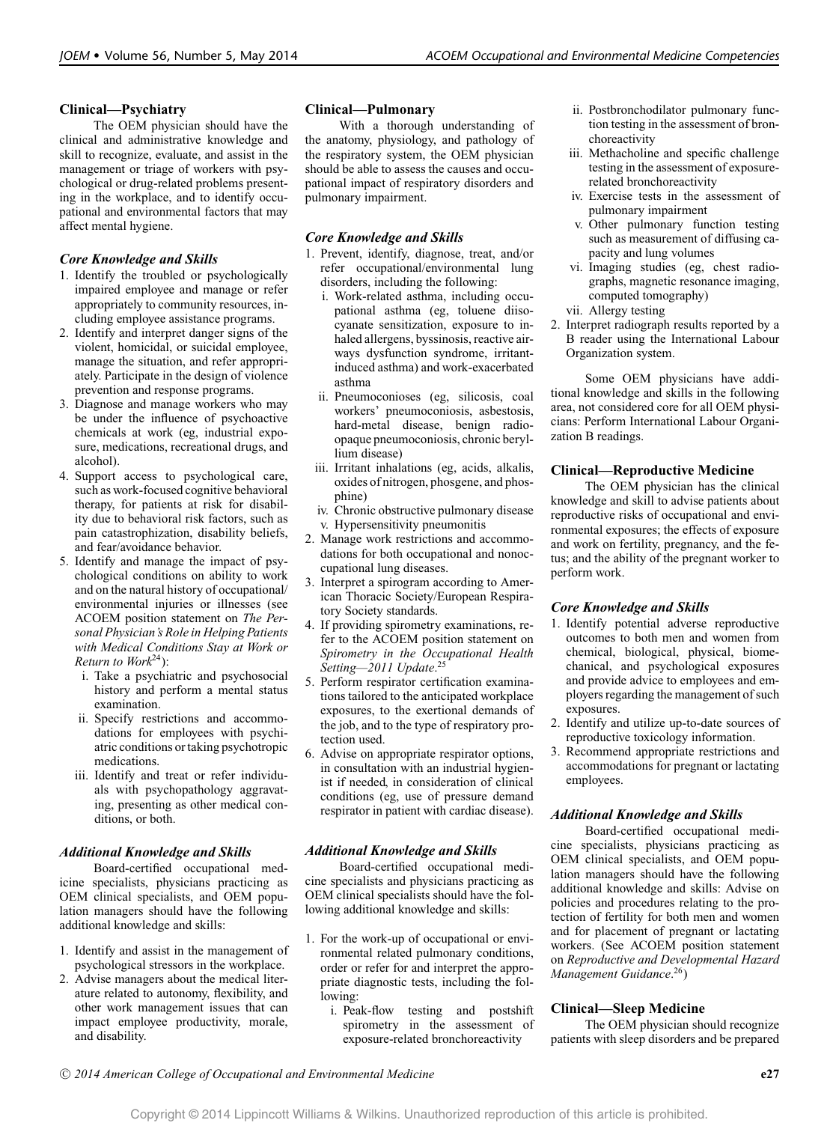### **Clinical—Psychiatry**

The OEM physician should have the clinical and administrative knowledge and skill to recognize, evaluate, and assist in the management or triage of workers with psychological or drug-related problems presenting in the workplace, and to identify occupational and environmental factors that may affect mental hygiene.

### *Core Knowledge and Skills*

- 1. Identify the troubled or psychologically impaired employee and manage or refer appropriately to community resources, including employee assistance programs.
- 2. Identify and interpret danger signs of the violent, homicidal, or suicidal employee, manage the situation, and refer appropriately. Participate in the design of violence prevention and response programs.
- 3. Diagnose and manage workers who may be under the influence of psychoactive chemicals at work (eg, industrial exposure, medications, recreational drugs, and alcohol).
- 4. Support access to psychological care, such as work-focused cognitive behavioral therapy, for patients at risk for disability due to behavioral risk factors, such as pain catastrophization, disability beliefs, and fear/avoidance behavior.
- 5. Identify and manage the impact of psychological conditions on ability to work and on the natural history of occupational/ environmental injuries or illnesses (see ACOEM position statement on *The Personal Physician's Role in Helping Patients with Medical Conditions Stay at Work or Return to Work*24):
	- i. Take a psychiatric and psychosocial history and perform a mental status examination.
	- ii. Specify restrictions and accommodations for employees with psychiatric conditions or taking psychotropic medications.
	- iii. Identify and treat or refer individuals with psychopathology aggravating, presenting as other medical conditions, or both.

### *Additional Knowledge and Skills*

Board-certified occupational medicine specialists, physicians practicing as OEM clinical specialists, and OEM population managers should have the following additional knowledge and skills:

- 1. Identify and assist in the management of psychological stressors in the workplace.
- 2. Advise managers about the medical literature related to autonomy, flexibility, and other work management issues that can impact employee productivity, morale, and disability.

### **Clinical—Pulmonary**

With a thorough understanding of the anatomy, physiology, and pathology of the respiratory system, the OEM physician should be able to assess the causes and occupational impact of respiratory disorders and pulmonary impairment.

### *Core Knowledge and Skills*

- 1. Prevent, identify, diagnose, treat, and/or refer occupational/environmental lung disorders, including the following:
	- i. Work-related asthma, including occupational asthma (eg, toluene diisocyanate sensitization, exposure to inhaled allergens, byssinosis, reactive airways dysfunction syndrome, irritantinduced asthma) and work-exacerbated asthma
	- ii. Pneumoconioses (eg, silicosis, coal workers' pneumoconiosis, asbestosis, hard-metal disease, benign radioopaque pneumoconiosis, chronic beryllium disease)
	- iii. Irritant inhalations (eg, acids, alkalis, oxides of nitrogen, phosgene, and phosphine)
- iv. Chronic obstructive pulmonary disease v. Hypersensitivity pneumonitis
- 2. Manage work restrictions and accommodations for both occupational and nonoccupational lung diseases.
- 3. Interpret a spirogram according to American Thoracic Society/European Respiratory Society standards.
- 4. If providing spirometry examinations, refer to the ACOEM position statement on *Spirometry in the Occupational Health Setting—2011 Update*. 25
- 5. Perform respirator certification examinations tailored to the anticipated workplace exposures, to the exertional demands of the job, and to the type of respiratory protection used.
- 6. Advise on appropriate respirator options, in consultation with an industrial hygienist if needed, in consideration of clinical conditions (eg, use of pressure demand respirator in patient with cardiac disease).

# *Additional Knowledge and Skills*

Board-certified occupational medicine specialists and physicians practicing as OEM clinical specialists should have the following additional knowledge and skills:

- 1. For the work-up of occupational or environmental related pulmonary conditions, order or refer for and interpret the appropriate diagnostic tests, including the following:
	- i. Peak-flow testing and postshift spirometry in the assessment of exposure-related bronchoreactivity
- ii. Postbronchodilator pulmonary function testing in the assessment of bronchoreactivity
- iii. Methacholine and specific challenge testing in the assessment of exposurerelated bronchoreactivity
- iv. Exercise tests in the assessment of pulmonary impairment
- v. Other pulmonary function testing such as measurement of diffusing capacity and lung volumes
- vi. Imaging studies (eg, chest radiographs, magnetic resonance imaging, computed tomography)
- vii. Allergy testing
- 2. Interpret radiograph results reported by a B reader using the International Labour Organization system.

Some OEM physicians have additional knowledge and skills in the following area, not considered core for all OEM physicians: Perform International Labour Organization B readings.

## **Clinical—Reproductive Medicine**

The OEM physician has the clinical knowledge and skill to advise patients about reproductive risks of occupational and environmental exposures; the effects of exposure and work on fertility, pregnancy, and the fetus; and the ability of the pregnant worker to perform work.

# *Core Knowledge and Skills*

- 1. Identify potential adverse reproductive outcomes to both men and women from chemical, biological, physical, biomechanical, and psychological exposures and provide advice to employees and employers regarding the management of such exposures.
- 2. Identify and utilize up-to-date sources of reproductive toxicology information.
- Recommend appropriate restrictions and accommodations for pregnant or lactating employees.

# *Additional Knowledge and Skills*

Board-certified occupational medicine specialists, physicians practicing as OEM clinical specialists, and OEM population managers should have the following additional knowledge and skills: Advise on policies and procedures relating to the protection of fertility for both men and women and for placement of pregnant or lactating workers. (See ACOEM position statement on *Reproductive and Developmental Hazard Management Guidance*. 26)

# **Clinical—Sleep Medicine**

The OEM physician should recognize patients with sleep disorders and be prepared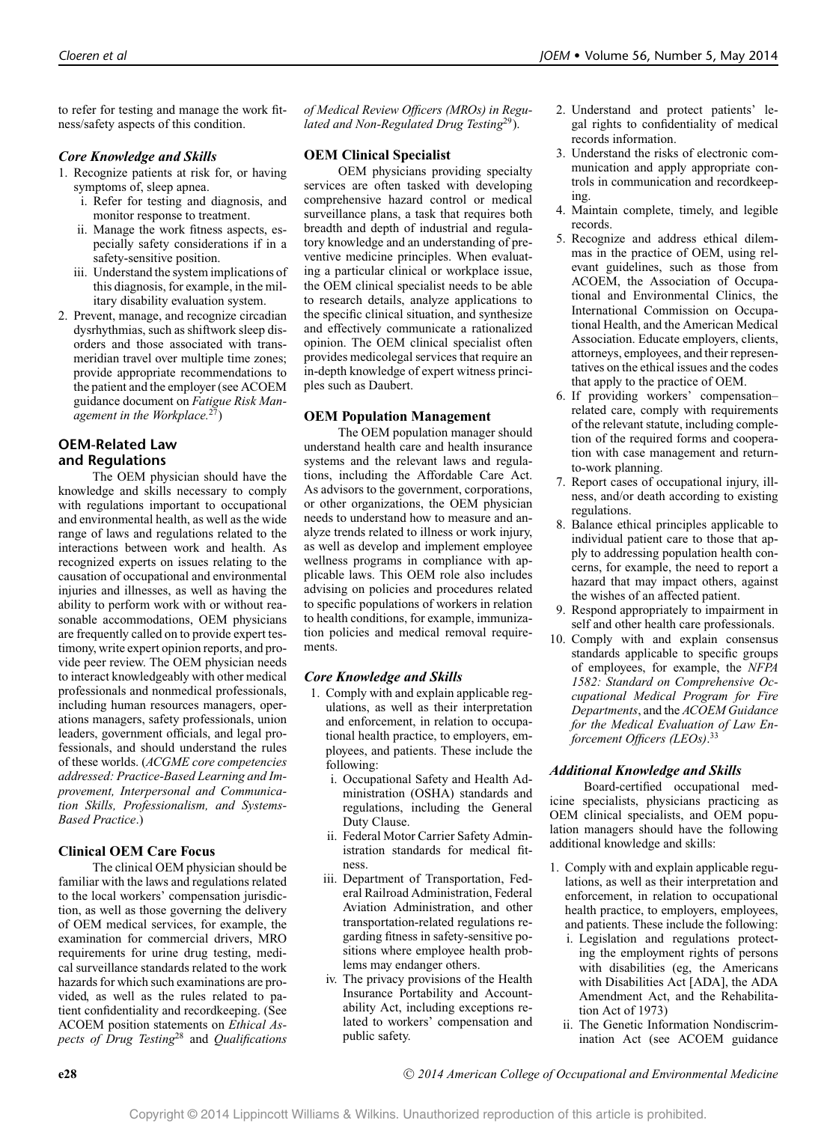to refer for testing and manage the work fitness/safety aspects of this condition.

### *Core Knowledge and Skills*

- 1. Recognize patients at risk for, or having symptoms of, sleep apnea.
	- i. Refer for testing and diagnosis, and monitor response to treatment.
	- ii. Manage the work fitness aspects, especially safety considerations if in a safety-sensitive position.
	- iii. Understand the system implications of this diagnosis, for example, in the military disability evaluation system.
- 2. Prevent, manage, and recognize circadian dysrhythmias, such as shiftwork sleep disorders and those associated with transmeridian travel over multiple time zones; provide appropriate recommendations to the patient and the employer (see ACOEM guidance document on *Fatigue Risk Management in the Workplace.*27)

### **OEM-Related Law and Regulations**

The OEM physician should have the knowledge and skills necessary to comply with regulations important to occupational and environmental health, as well as the wide range of laws and regulations related to the interactions between work and health. As recognized experts on issues relating to the causation of occupational and environmental injuries and illnesses, as well as having the ability to perform work with or without reasonable accommodations, OEM physicians are frequently called on to provide expert testimony, write expert opinion reports, and provide peer review. The OEM physician needs to interact knowledgeably with other medical professionals and nonmedical professionals, including human resources managers, operations managers, safety professionals, union leaders, government officials, and legal professionals, and should understand the rules of these worlds. (*ACGME core competencies addressed: Practice-Based Learning and Improvement, Interpersonal and Communication Skills, Professionalism, and Systems-Based Practice*.)

### **Clinical OEM Care Focus**

The clinical OEM physician should be familiar with the laws and regulations related to the local workers' compensation jurisdiction, as well as those governing the delivery of OEM medical services, for example, the examination for commercial drivers, MRO requirements for urine drug testing, medical surveillance standards related to the work hazards for which such examinations are provided, as well as the rules related to patient confidentiality and recordkeeping. (See ACOEM position statements on *Ethical Aspects of Drug Testing*<sup>28</sup> and *Qualifications*

*of Medical Review Officers (MROs) in Regulated and Non-Regulated Drug Testing*29).

#### **OEM Clinical Specialist**

OEM physicians providing specialty services are often tasked with developing comprehensive hazard control or medical surveillance plans, a task that requires both breadth and depth of industrial and regulatory knowledge and an understanding of preventive medicine principles. When evaluating a particular clinical or workplace issue, the OEM clinical specialist needs to be able to research details, analyze applications to the specific clinical situation, and synthesize and effectively communicate a rationalized opinion. The OEM clinical specialist often provides medicolegal services that require an in-depth knowledge of expert witness principles such as Daubert.

#### **OEM Population Management**

The OEM population manager should understand health care and health insurance systems and the relevant laws and regulations, including the Affordable Care Act. As advisors to the government, corporations, or other organizations, the OEM physician needs to understand how to measure and analyze trends related to illness or work injury, as well as develop and implement employee wellness programs in compliance with applicable laws. This OEM role also includes advising on policies and procedures related to specific populations of workers in relation to health conditions, for example, immunization policies and medical removal requirements.

#### *Core Knowledge and Skills*

- 1. Comply with and explain applicable regulations, as well as their interpretation and enforcement, in relation to occupational health practice, to employers, employees, and patients. These include the following:
	- i. Occupational Safety and Health Administration (OSHA) standards and regulations, including the General Duty Clause.
	- ii. Federal Motor Carrier Safety Administration standards for medical fitness.
	- iii. Department of Transportation, Federal Railroad Administration, Federal Aviation Administration, and other transportation-related regulations regarding fitness in safety-sensitive positions where employee health problems may endanger others.
	- iv. The privacy provisions of the Health Insurance Portability and Accountability Act, including exceptions related to workers' compensation and public safety.
- 2. Understand and protect patients' legal rights to confidentiality of medical records information.
- 3. Understand the risks of electronic communication and apply appropriate controls in communication and recordkeeping.
- 4. Maintain complete, timely, and legible records.
- 5. Recognize and address ethical dilemmas in the practice of OEM, using relevant guidelines, such as those from ACOEM, the Association of Occupational and Environmental Clinics, the International Commission on Occupational Health, and the American Medical Association. Educate employers, clients, attorneys, employees, and their representatives on the ethical issues and the codes that apply to the practice of OEM.
- 6. If providing workers' compensation– related care, comply with requirements of the relevant statute, including completion of the required forms and cooperation with case management and returnto-work planning.
- 7. Report cases of occupational injury, illness, and/or death according to existing regulations.
- 8. Balance ethical principles applicable to individual patient care to those that apply to addressing population health concerns, for example, the need to report a hazard that may impact others, against the wishes of an affected patient.
- 9. Respond appropriately to impairment in self and other health care professionals.
- 10. Comply with and explain consensus standards applicable to specific groups of employees, for example, the *NFPA 1582: Standard on Comprehensive Occupational Medical Program for Fire Departments*, and the *ACOEM Guidance for the Medical Evaluation of Law Enforcement Officers (LEOs)*. 33

#### *Additional Knowledge and Skills*

Board-certified occupational medicine specialists, physicians practicing as OEM clinical specialists, and OEM population managers should have the following additional knowledge and skills:

- 1. Comply with and explain applicable regulations, as well as their interpretation and enforcement, in relation to occupational health practice, to employers, employees, and patients. These include the following:
	- i. Legislation and regulations protecting the employment rights of persons with disabilities (eg, the Americans with Disabilities Act [ADA], the ADA Amendment Act, and the Rehabilitation Act of 1973)
	- ii. The Genetic Information Nondiscrimination Act (see ACOEM guidance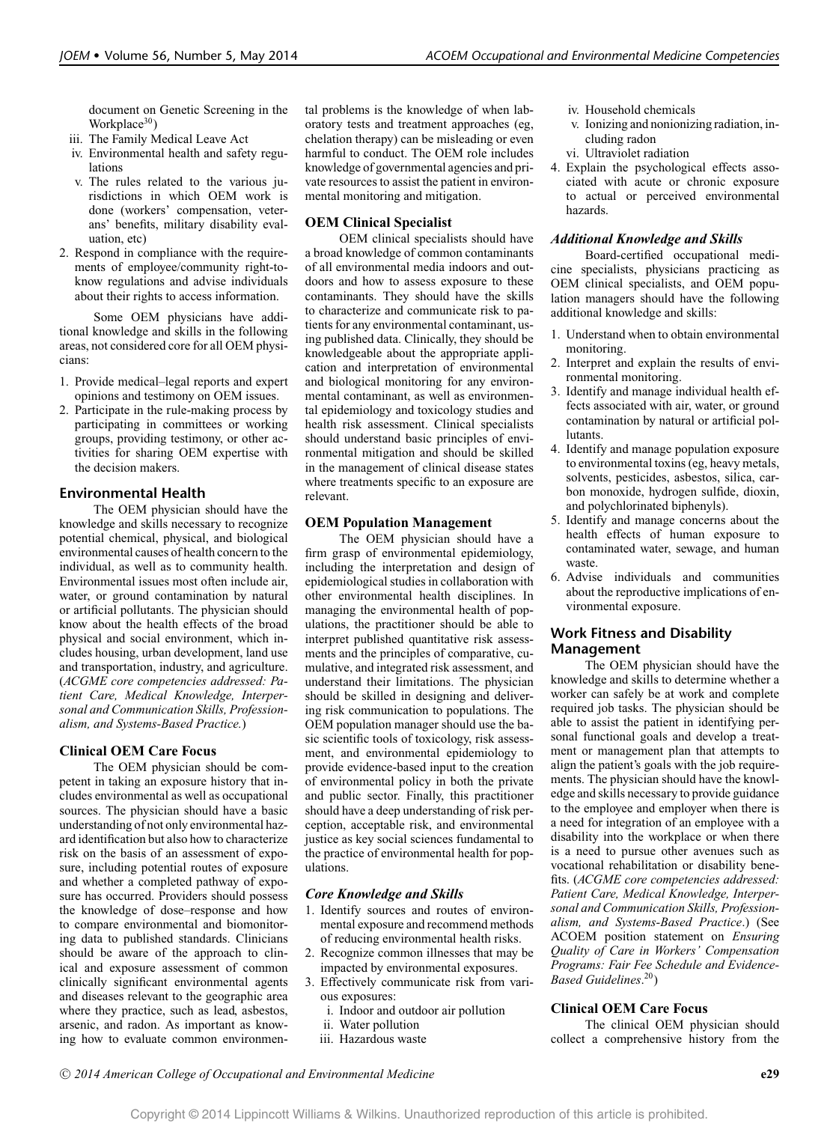document on Genetic Screening in the Workplace<sup>30</sup>)

- iii. The Family Medical Leave Act
- iv. Environmental health and safety regulations
- v. The rules related to the various jurisdictions in which OEM work is done (workers' compensation, veterans' benefits, military disability evaluation, etc)
- 2. Respond in compliance with the requirements of employee/community right-toknow regulations and advise individuals about their rights to access information.

Some OEM physicians have additional knowledge and skills in the following areas, not considered core for all OEM physicians:

- 1. Provide medical–legal reports and expert opinions and testimony on OEM issues.
- 2. Participate in the rule-making process by participating in committees or working groups, providing testimony, or other activities for sharing OEM expertise with the decision makers.

### **Environmental Health**

The OEM physician should have the knowledge and skills necessary to recognize potential chemical, physical, and biological environmental causes of health concern to the individual, as well as to community health. Environmental issues most often include air, water, or ground contamination by natural or artificial pollutants. The physician should know about the health effects of the broad physical and social environment, which includes housing, urban development, land use and transportation, industry, and agriculture. (*ACGME core competencies addressed: Patient Care, Medical Knowledge, Interpersonal and Communication Skills, Professionalism, and Systems-Based Practice.*)

#### **Clinical OEM Care Focus**

The OEM physician should be competent in taking an exposure history that includes environmental as well as occupational sources. The physician should have a basic understanding of not only environmental hazard identification but also how to characterize risk on the basis of an assessment of exposure, including potential routes of exposure and whether a completed pathway of exposure has occurred. Providers should possess the knowledge of dose–response and how to compare environmental and biomonitoring data to published standards. Clinicians should be aware of the approach to clinical and exposure assessment of common clinically significant environmental agents and diseases relevant to the geographic area where they practice, such as lead, asbestos, arsenic, and radon. As important as knowing how to evaluate common environmental problems is the knowledge of when laboratory tests and treatment approaches (eg, chelation therapy) can be misleading or even harmful to conduct. The OEM role includes knowledge of governmental agencies and private resources to assist the patient in environmental monitoring and mitigation.

### **OEM Clinical Specialist**

OEM clinical specialists should have a broad knowledge of common contaminants of all environmental media indoors and outdoors and how to assess exposure to these contaminants. They should have the skills to characterize and communicate risk to patients for any environmental contaminant, using published data. Clinically, they should be knowledgeable about the appropriate application and interpretation of environmental and biological monitoring for any environmental contaminant, as well as environmental epidemiology and toxicology studies and health risk assessment. Clinical specialists should understand basic principles of environmental mitigation and should be skilled in the management of clinical disease states where treatments specific to an exposure are relevant.

### **OEM Population Management**

The OEM physician should have a firm grasp of environmental epidemiology, including the interpretation and design of epidemiological studies in collaboration with other environmental health disciplines. In managing the environmental health of populations, the practitioner should be able to interpret published quantitative risk assessments and the principles of comparative, cumulative, and integrated risk assessment, and understand their limitations. The physician should be skilled in designing and delivering risk communication to populations. The OEM population manager should use the basic scientific tools of toxicology, risk assessment, and environmental epidemiology to provide evidence-based input to the creation of environmental policy in both the private and public sector. Finally, this practitioner should have a deep understanding of risk perception, acceptable risk, and environmental justice as key social sciences fundamental to the practice of environmental health for populations.

### *Core Knowledge and Skills*

- 1. Identify sources and routes of environmental exposure and recommend methods of reducing environmental health risks.
- 2. Recognize common illnesses that may be impacted by environmental exposures.
- 3. Effectively communicate risk from various exposures:
	- i. Indoor and outdoor air pollution
	- ii. Water pollution
- iii. Hazardous waste
- iv. Household chemicals
- v. Ionizing and nonionizing radiation, including radon
- vi. Ultraviolet radiation
- 4. Explain the psychological effects associated with acute or chronic exposure to actual or perceived environmental hazards.

#### *Additional Knowledge and Skills*

Board-certified occupational medicine specialists, physicians practicing as OEM clinical specialists, and OEM population managers should have the following additional knowledge and skills:

- 1. Understand when to obtain environmental monitoring.
- 2. Interpret and explain the results of environmental monitoring.
- 3. Identify and manage individual health effects associated with air, water, or ground contamination by natural or artificial pollutants.
- 4. Identify and manage population exposure to environmental toxins (eg, heavy metals, solvents, pesticides, asbestos, silica, carbon monoxide, hydrogen sulfide, dioxin, and polychlorinated biphenyls).
- 5. Identify and manage concerns about the health effects of human exposure to contaminated water, sewage, and human waste.
- 6. Advise individuals and communities about the reproductive implications of environmental exposure.

### **Work Fitness and Disability Management**

The OEM physician should have the knowledge and skills to determine whether a worker can safely be at work and complete required job tasks. The physician should be able to assist the patient in identifying personal functional goals and develop a treatment or management plan that attempts to align the patient's goals with the job requirements. The physician should have the knowledge and skills necessary to provide guidance to the employee and employer when there is a need for integration of an employee with a disability into the workplace or when there is a need to pursue other avenues such as vocational rehabilitation or disability benefits. (*ACGME core competencies addressed: Patient Care, Medical Knowledge, Interpersonal and Communication Skills, Professionalism, and Systems-Based Practice*.) (See ACOEM position statement on *Ensuring Quality of Care in Workers' Compensation Programs: Fair Fee Schedule and Evidence-Based Guidelines*. 20)

### **Clinical OEM Care Focus**

The clinical OEM physician should collect a comprehensive history from the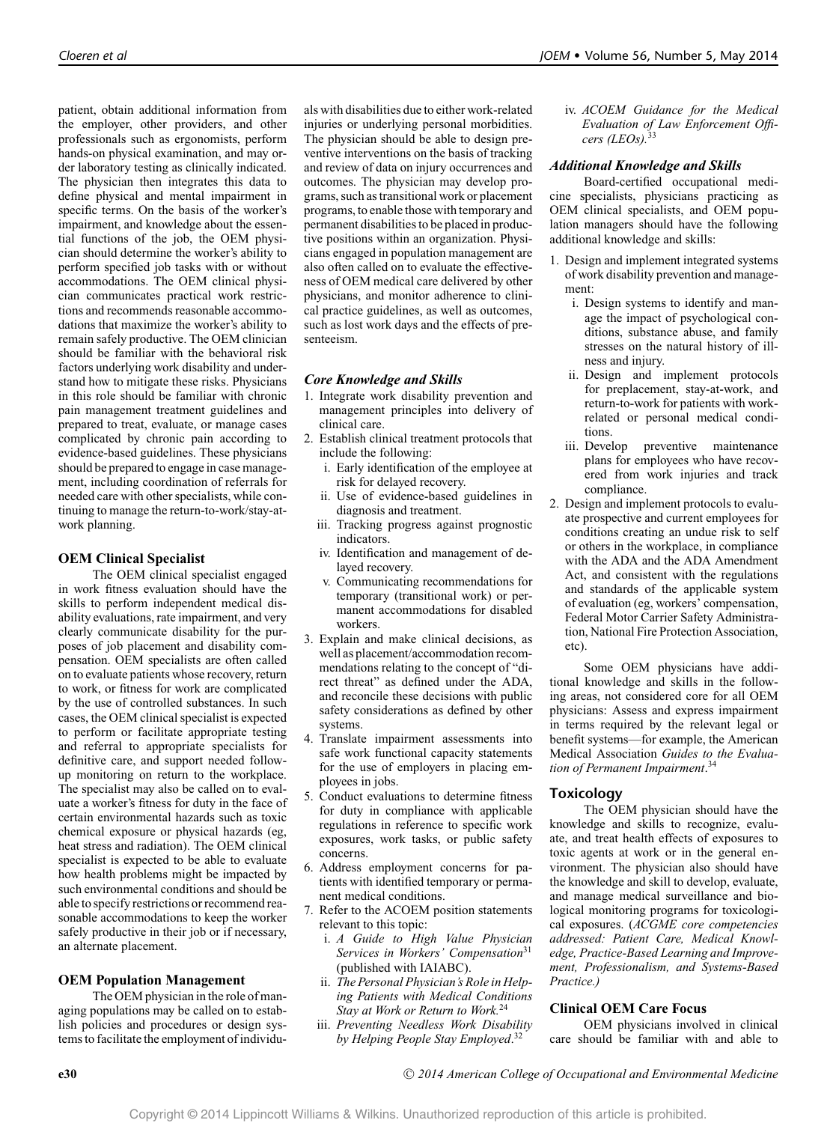patient, obtain additional information from the employer, other providers, and other professionals such as ergonomists, perform hands-on physical examination, and may order laboratory testing as clinically indicated. The physician then integrates this data to define physical and mental impairment in specific terms. On the basis of the worker's impairment, and knowledge about the essential functions of the job, the OEM physician should determine the worker's ability to perform specified job tasks with or without accommodations. The OEM clinical physician communicates practical work restrictions and recommends reasonable accommodations that maximize the worker's ability to remain safely productive. The OEM clinician should be familiar with the behavioral risk factors underlying work disability and understand how to mitigate these risks. Physicians in this role should be familiar with chronic pain management treatment guidelines and prepared to treat, evaluate, or manage cases complicated by chronic pain according to evidence-based guidelines. These physicians should be prepared to engage in case management, including coordination of referrals for needed care with other specialists, while continuing to manage the return-to-work/stay-atwork planning.

#### **OEM Clinical Specialist**

The OEM clinical specialist engaged in work fitness evaluation should have the skills to perform independent medical disability evaluations, rate impairment, and very clearly communicate disability for the purposes of job placement and disability compensation. OEM specialists are often called on to evaluate patients whose recovery, return to work, or fitness for work are complicated by the use of controlled substances. In such cases, the OEM clinical specialist is expected to perform or facilitate appropriate testing and referral to appropriate specialists for definitive care, and support needed followup monitoring on return to the workplace. The specialist may also be called on to evaluate a worker's fitness for duty in the face of certain environmental hazards such as toxic chemical exposure or physical hazards (eg, heat stress and radiation). The OEM clinical specialist is expected to be able to evaluate how health problems might be impacted by such environmental conditions and should be able to specify restrictions or recommend reasonable accommodations to keep the worker safely productive in their job or if necessary, an alternate placement.

#### **OEM Population Management**

The OEM physician in the role of managing populations may be called on to establish policies and procedures or design systems to facilitate the employment of individu-

als with disabilities due to either work-related injuries or underlying personal morbidities. The physician should be able to design preventive interventions on the basis of tracking and review of data on injury occurrences and outcomes. The physician may develop programs, such as transitional work or placement programs, to enable those with temporary and permanent disabilities to be placed in productive positions within an organization. Physicians engaged in population management are also often called on to evaluate the effectiveness of OEM medical care delivered by other physicians, and monitor adherence to clinical practice guidelines, as well as outcomes, such as lost work days and the effects of presenteeism.

#### *Core Knowledge and Skills*

- 1. Integrate work disability prevention and management principles into delivery of clinical care.
- 2. Establish clinical treatment protocols that include the following:
	- i. Early identification of the employee at risk for delayed recovery.
	- ii. Use of evidence-based guidelines in diagnosis and treatment.
	- iii. Tracking progress against prognostic indicators.
	- iv. Identification and management of delayed recovery.
	- v. Communicating recommendations for temporary (transitional work) or permanent accommodations for disabled workers.
- 3. Explain and make clinical decisions, as well as placement/accommodation recommendations relating to the concept of "direct threat" as defined under the ADA, and reconcile these decisions with public safety considerations as defined by other systems.
- 4. Translate impairment assessments into safe work functional capacity statements for the use of employers in placing employees in jobs.
- 5. Conduct evaluations to determine fitness for duty in compliance with applicable regulations in reference to specific work exposures, work tasks, or public safety concerns.
- 6. Address employment concerns for patients with identified temporary or permanent medical conditions.
- 7. Refer to the ACOEM position statements relevant to this topic:
	- i. *A Guide to High Value Physician Services in Workers' Compensation*<sup>31</sup> (published with IAIABC).
	- ii. *The Personal Physician's Role in Helping Patients with Medical Conditions Stay at Work or Return to Work.*<sup>24</sup>
	- iii. *Preventing Needless Work Disability by Helping People Stay Employed*. 32

iv. *ACOEM Guidance for the Medical Evaluation of Law Enforcement Officers (LEOs).*<sup>33</sup>

### *Additional Knowledge and Skills*

Board-certified occupational medicine specialists, physicians practicing as OEM clinical specialists, and OEM population managers should have the following additional knowledge and skills:

- 1. Design and implement integrated systems of work disability prevention and management:
	- i. Design systems to identify and manage the impact of psychological conditions, substance abuse, and family stresses on the natural history of illness and injury.
	- ii. Design and implement protocols for preplacement, stay-at-work, and return-to-work for patients with workrelated or personal medical conditions.
	- iii. Develop preventive maintenance plans for employees who have recovered from work injuries and track compliance.
- 2. Design and implement protocols to evaluate prospective and current employees for conditions creating an undue risk to self or others in the workplace, in compliance with the ADA and the ADA Amendment Act, and consistent with the regulations and standards of the applicable system of evaluation (eg, workers' compensation, Federal Motor Carrier Safety Administration, National Fire Protection Association, etc).

Some OEM physicians have additional knowledge and skills in the following areas, not considered core for all OEM physicians: Assess and express impairment in terms required by the relevant legal or benefit systems—for example, the American Medical Association *Guides to the Evaluation of Permanent Impairment*. 34

# **Toxicology**

The OEM physician should have the knowledge and skills to recognize, evaluate, and treat health effects of exposures to toxic agents at work or in the general environment. The physician also should have the knowledge and skill to develop, evaluate, and manage medical surveillance and biological monitoring programs for toxicological exposures. (*ACGME core competencies addressed: Patient Care, Medical Knowledge, Practice-Based Learning and Improvement, Professionalism, and Systems-Based Practice.)*

### **Clinical OEM Care Focus**

OEM physicians involved in clinical care should be familiar with and able to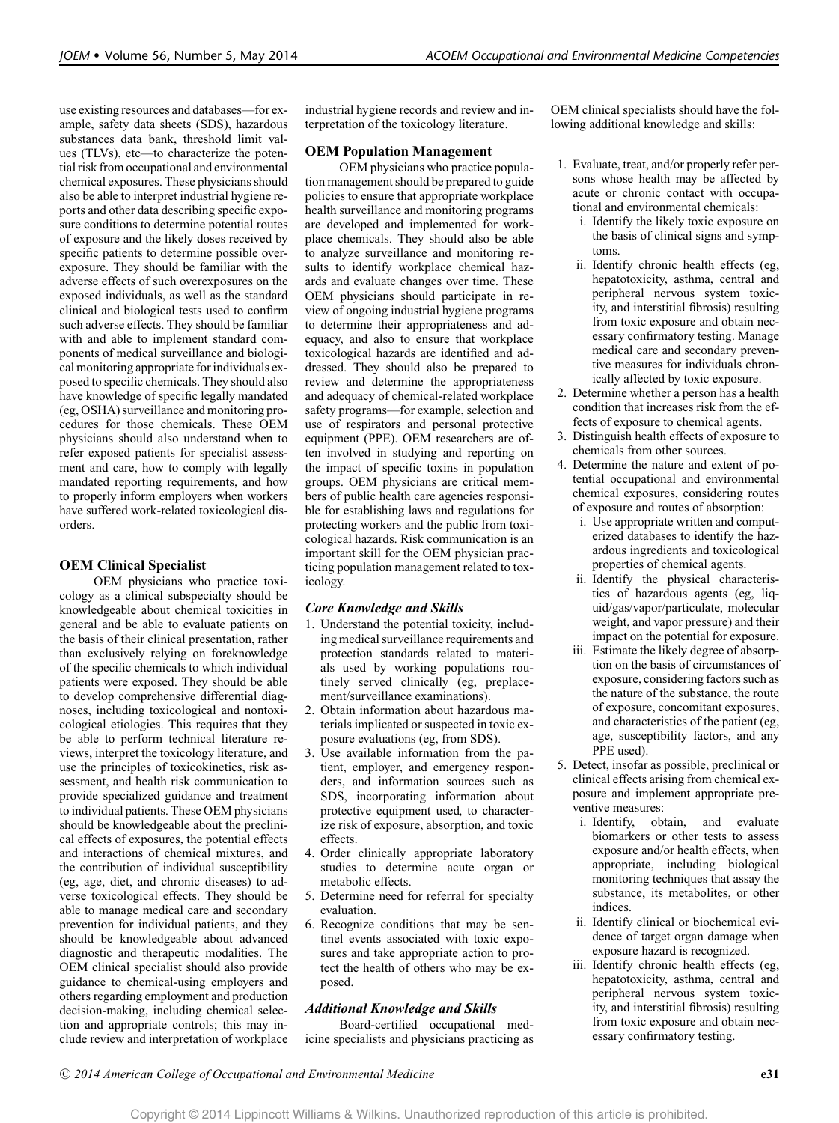use existing resources and databases—for example, safety data sheets (SDS), hazardous substances data bank, threshold limit values (TLVs), etc—to characterize the potential risk from occupational and environmental chemical exposures. These physicians should also be able to interpret industrial hygiene reports and other data describing specific exposure conditions to determine potential routes of exposure and the likely doses received by specific patients to determine possible overexposure. They should be familiar with the adverse effects of such overexposures on the exposed individuals, as well as the standard clinical and biological tests used to confirm such adverse effects. They should be familiar with and able to implement standard components of medical surveillance and biological monitoring appropriate for individuals exposed to specific chemicals. They should also have knowledge of specific legally mandated (eg, OSHA) surveillance and monitoring procedures for those chemicals. These OEM physicians should also understand when to refer exposed patients for specialist assessment and care, how to comply with legally mandated reporting requirements, and how to properly inform employers when workers have suffered work-related toxicological disorders.

# **OEM Clinical Specialist**

OEM physicians who practice toxicology as a clinical subspecialty should be knowledgeable about chemical toxicities in general and be able to evaluate patients on the basis of their clinical presentation, rather than exclusively relying on foreknowledge of the specific chemicals to which individual patients were exposed. They should be able to develop comprehensive differential diagnoses, including toxicological and nontoxicological etiologies. This requires that they be able to perform technical literature reviews, interpret the toxicology literature, and use the principles of toxicokinetics, risk assessment, and health risk communication to provide specialized guidance and treatment to individual patients. These OEM physicians should be knowledgeable about the preclinical effects of exposures, the potential effects and interactions of chemical mixtures, and the contribution of individual susceptibility (eg, age, diet, and chronic diseases) to adverse toxicological effects. They should be able to manage medical care and secondary prevention for individual patients, and they should be knowledgeable about advanced diagnostic and therapeutic modalities. The OEM clinical specialist should also provide guidance to chemical-using employers and others regarding employment and production decision-making, including chemical selection and appropriate controls; this may include review and interpretation of workplace

industrial hygiene records and review and interpretation of the toxicology literature.

### **OEM Population Management**

OEM physicians who practice population management should be prepared to guide policies to ensure that appropriate workplace health surveillance and monitoring programs are developed and implemented for workplace chemicals. They should also be able to analyze surveillance and monitoring results to identify workplace chemical hazards and evaluate changes over time. These OEM physicians should participate in review of ongoing industrial hygiene programs to determine their appropriateness and adequacy, and also to ensure that workplace toxicological hazards are identified and addressed. They should also be prepared to review and determine the appropriateness and adequacy of chemical-related workplace safety programs—for example, selection and use of respirators and personal protective equipment (PPE). OEM researchers are often involved in studying and reporting on the impact of specific toxins in population groups. OEM physicians are critical members of public health care agencies responsible for establishing laws and regulations for protecting workers and the public from toxicological hazards. Risk communication is an important skill for the OEM physician practicing population management related to toxicology.

### *Core Knowledge and Skills*

- 1. Understand the potential toxicity, including medical surveillance requirements and protection standards related to materials used by working populations routinely served clinically (eg, preplacement/surveillance examinations).
- 2. Obtain information about hazardous materials implicated or suspected in toxic exposure evaluations (eg, from SDS).
- 3. Use available information from the patient, employer, and emergency responders, and information sources such as SDS, incorporating information about protective equipment used, to characterize risk of exposure, absorption, and toxic effects.
- 4. Order clinically appropriate laboratory studies to determine acute organ or metabolic effects.
- 5. Determine need for referral for specialty evaluation.
- 6. Recognize conditions that may be sentinel events associated with toxic exposures and take appropriate action to protect the health of others who may be exposed.

### *Additional Knowledge and Skills*

Board-certified occupational medicine specialists and physicians practicing as OEM clinical specialists should have the following additional knowledge and skills:

- 1. Evaluate, treat, and/or properly refer persons whose health may be affected by acute or chronic contact with occupational and environmental chemicals:
	- i. Identify the likely toxic exposure on the basis of clinical signs and symptoms.
	- ii. Identify chronic health effects (eg, hepatotoxicity, asthma, central and peripheral nervous system toxicity, and interstitial fibrosis) resulting from toxic exposure and obtain necessary confirmatory testing. Manage medical care and secondary preventive measures for individuals chronically affected by toxic exposure.
- 2. Determine whether a person has a health condition that increases risk from the effects of exposure to chemical agents.
- 3. Distinguish health effects of exposure to chemicals from other sources.
- 4. Determine the nature and extent of potential occupational and environmental chemical exposures, considering routes of exposure and routes of absorption:
	- i. Use appropriate written and computerized databases to identify the hazardous ingredients and toxicological properties of chemical agents.
	- ii. Identify the physical characteristics of hazardous agents (eg, liquid/gas/vapor/particulate, molecular weight, and vapor pressure) and their impact on the potential for exposure.
	- iii. Estimate the likely degree of absorption on the basis of circumstances of exposure, considering factors such as the nature of the substance, the route of exposure, concomitant exposures, and characteristics of the patient (eg, age, susceptibility factors, and any PPE used).
- 5. Detect, insofar as possible, preclinical or clinical effects arising from chemical exposure and implement appropriate preventive measures:
	- i. Identify, obtain, and evaluate biomarkers or other tests to assess exposure and/or health effects, when appropriate, including biological monitoring techniques that assay the substance, its metabolites, or other indices.
	- ii. Identify clinical or biochemical evidence of target organ damage when exposure hazard is recognized.
	- iii. Identify chronic health effects (eg, hepatotoxicity, asthma, central and peripheral nervous system toxicity, and interstitial fibrosis) resulting from toxic exposure and obtain necessary confirmatory testing.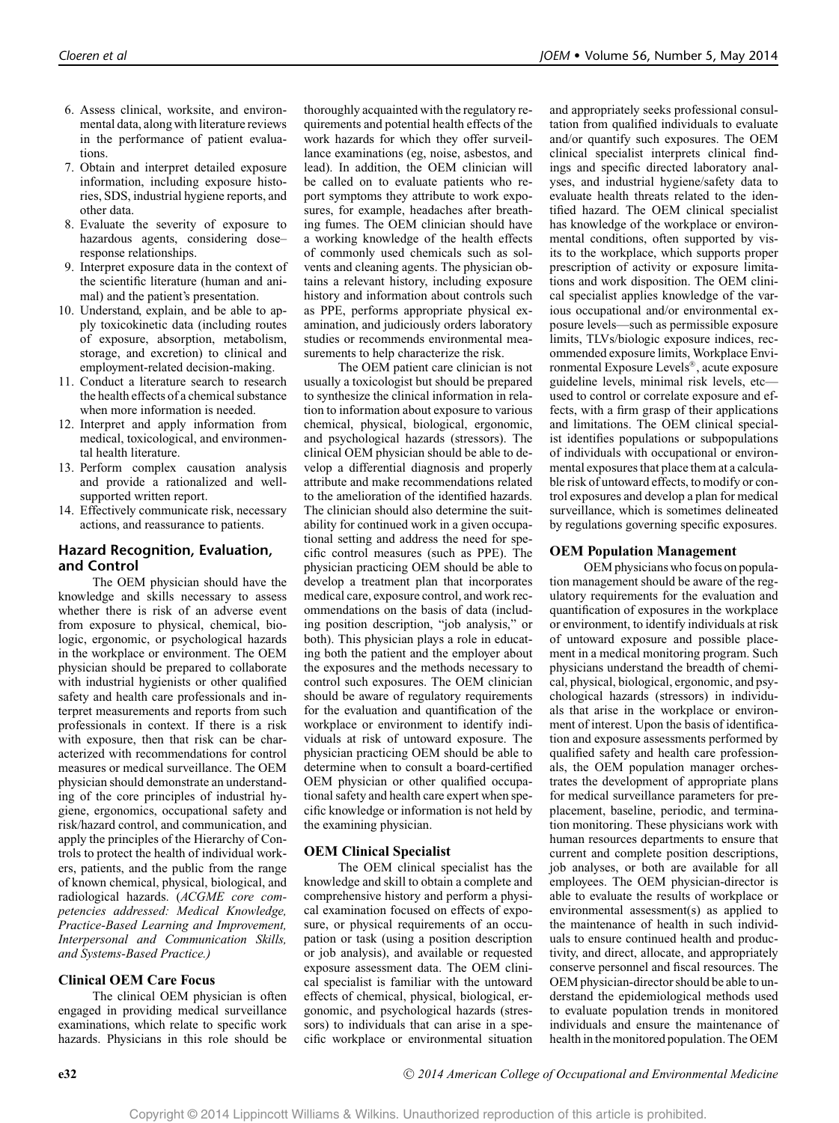- 6. Assess clinical, worksite, and environmental data, along with literature reviews in the performance of patient evaluations.
- 7. Obtain and interpret detailed exposure information, including exposure histories, SDS, industrial hygiene reports, and other data.
- 8. Evaluate the severity of exposure to hazardous agents, considering dose– response relationships.
- 9. Interpret exposure data in the context of the scientific literature (human and animal) and the patient's presentation.
- 10. Understand, explain, and be able to apply toxicokinetic data (including routes of exposure, absorption, metabolism, storage, and excretion) to clinical and employment-related decision-making.
- 11. Conduct a literature search to research the health effects of a chemical substance when more information is needed.
- 12. Interpret and apply information from medical, toxicological, and environmental health literature.
- 13. Perform complex causation analysis and provide a rationalized and wellsupported written report.
- 14. Effectively communicate risk, necessary actions, and reassurance to patients.

### **Hazard Recognition, Evaluation, and Control**

The OEM physician should have the knowledge and skills necessary to assess whether there is risk of an adverse event from exposure to physical, chemical, biologic, ergonomic, or psychological hazards in the workplace or environment. The OEM physician should be prepared to collaborate with industrial hygienists or other qualified safety and health care professionals and interpret measurements and reports from such professionals in context. If there is a risk with exposure, then that risk can be characterized with recommendations for control measures or medical surveillance. The OEM physician should demonstrate an understanding of the core principles of industrial hygiene, ergonomics, occupational safety and risk/hazard control, and communication, and apply the principles of the Hierarchy of Controls to protect the health of individual workers, patients, and the public from the range of known chemical, physical, biological, and radiological hazards. (*ACGME core competencies addressed: Medical Knowledge, Practice-Based Learning and Improvement, Interpersonal and Communication Skills, and Systems-Based Practice.)*

#### **Clinical OEM Care Focus**

The clinical OEM physician is often engaged in providing medical surveillance examinations, which relate to specific work hazards. Physicians in this role should be

thoroughly acquainted with the regulatory requirements and potential health effects of the work hazards for which they offer surveillance examinations (eg, noise, asbestos, and lead). In addition, the OEM clinician will be called on to evaluate patients who report symptoms they attribute to work exposures, for example, headaches after breathing fumes. The OEM clinician should have a working knowledge of the health effects of commonly used chemicals such as solvents and cleaning agents. The physician obtains a relevant history, including exposure history and information about controls such as PPE, performs appropriate physical examination, and judiciously orders laboratory studies or recommends environmental measurements to help characterize the risk.

The OEM patient care clinician is not usually a toxicologist but should be prepared to synthesize the clinical information in relation to information about exposure to various chemical, physical, biological, ergonomic, and psychological hazards (stressors). The clinical OEM physician should be able to develop a differential diagnosis and properly attribute and make recommendations related to the amelioration of the identified hazards. The clinician should also determine the suitability for continued work in a given occupational setting and address the need for specific control measures (such as PPE). The physician practicing OEM should be able to develop a treatment plan that incorporates medical care, exposure control, and work recommendations on the basis of data (including position description, "job analysis," or both). This physician plays a role in educating both the patient and the employer about the exposures and the methods necessary to control such exposures. The OEM clinician should be aware of regulatory requirements for the evaluation and quantification of the workplace or environment to identify individuals at risk of untoward exposure. The physician practicing OEM should be able to determine when to consult a board-certified OEM physician or other qualified occupational safety and health care expert when specific knowledge or information is not held by the examining physician.

#### **OEM Clinical Specialist**

The OEM clinical specialist has the knowledge and skill to obtain a complete and comprehensive history and perform a physical examination focused on effects of exposure, or physical requirements of an occupation or task (using a position description or job analysis), and available or requested exposure assessment data. The OEM clinical specialist is familiar with the untoward effects of chemical, physical, biological, ergonomic, and psychological hazards (stressors) to individuals that can arise in a specific workplace or environmental situation

and appropriately seeks professional consultation from qualified individuals to evaluate and/or quantify such exposures. The OEM clinical specialist interprets clinical findings and specific directed laboratory analyses, and industrial hygiene/safety data to evaluate health threats related to the identified hazard. The OEM clinical specialist has knowledge of the workplace or environmental conditions, often supported by visits to the workplace, which supports proper prescription of activity or exposure limitations and work disposition. The OEM clinical specialist applies knowledge of the various occupational and/or environmental exposure levels—such as permissible exposure limits, TLVs/biologic exposure indices, recommended exposure limits, Workplace Environmental Exposure Levels®, acute exposure guideline levels, minimal risk levels, etc used to control or correlate exposure and effects, with a firm grasp of their applications and limitations. The OEM clinical specialist identifies populations or subpopulations of individuals with occupational or environmental exposures that place them at a calculable risk of untoward effects, to modify or control exposures and develop a plan for medical surveillance, which is sometimes delineated by regulations governing specific exposures.

#### **OEM Population Management**

OEM physicians who focus on population management should be aware of the regulatory requirements for the evaluation and quantification of exposures in the workplace or environment, to identify individuals at risk of untoward exposure and possible placement in a medical monitoring program. Such physicians understand the breadth of chemical, physical, biological, ergonomic, and psychological hazards (stressors) in individuals that arise in the workplace or environment of interest. Upon the basis of identification and exposure assessments performed by qualified safety and health care professionals, the OEM population manager orchestrates the development of appropriate plans for medical surveillance parameters for preplacement, baseline, periodic, and termination monitoring. These physicians work with human resources departments to ensure that current and complete position descriptions, job analyses, or both are available for all employees. The OEM physician-director is able to evaluate the results of workplace or environmental assessment(s) as applied to the maintenance of health in such individuals to ensure continued health and productivity, and direct, allocate, and appropriately conserve personnel and fiscal resources. The OEM physician-director should be able to understand the epidemiological methods used to evaluate population trends in monitored individuals and ensure the maintenance of health in the monitored population. The OEM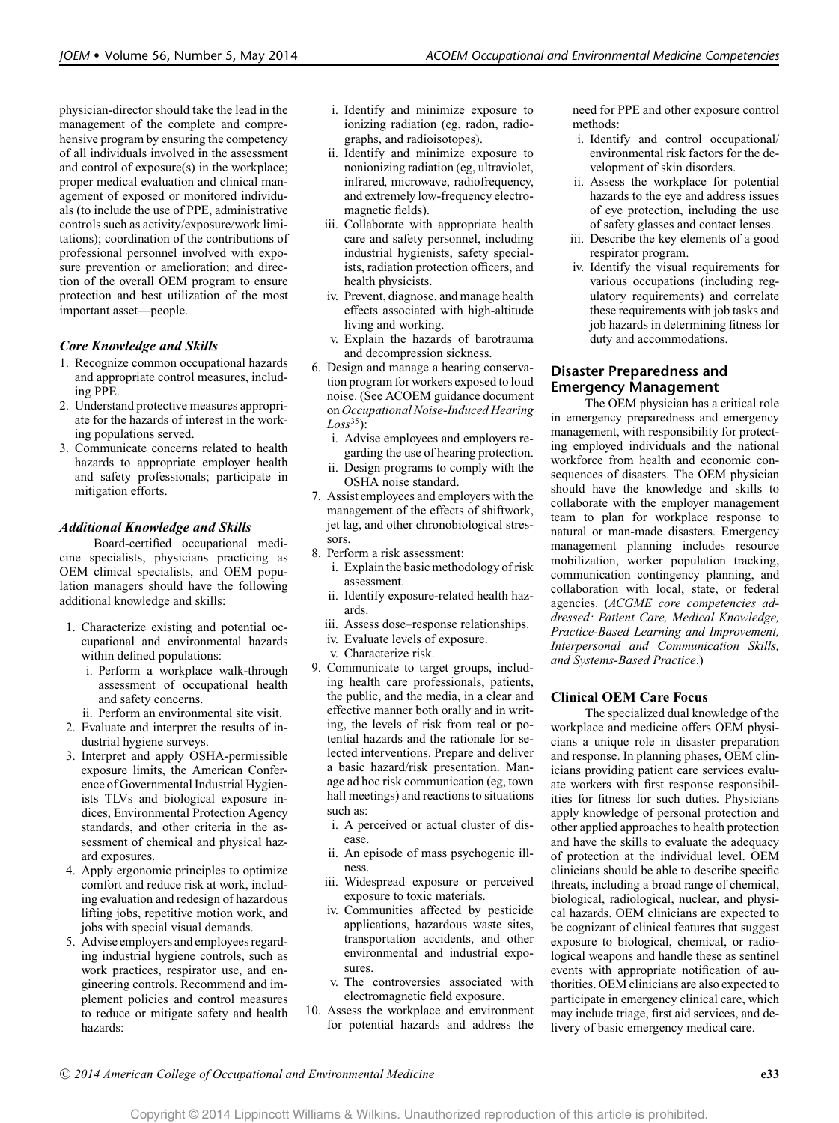physician-director should take the lead in the management of the complete and comprehensive program by ensuring the competency of all individuals involved in the assessment and control of exposure(s) in the workplace; proper medical evaluation and clinical management of exposed or monitored individuals (to include the use of PPE, administrative controls such as activity/exposure/work limitations); coordination of the contributions of professional personnel involved with exposure prevention or amelioration; and direction of the overall OEM program to ensure protection and best utilization of the most important asset—people.

### *Core Knowledge and Skills*

- 1. Recognize common occupational hazards and appropriate control measures, including PPE.
- 2. Understand protective measures appropriate for the hazards of interest in the working populations served.
- 3. Communicate concerns related to health hazards to appropriate employer health and safety professionals; participate in mitigation efforts.

### *Additional Knowledge and Skills*

Board-certified occupational medicine specialists, physicians practicing as OEM clinical specialists, and OEM population managers should have the following additional knowledge and skills:

- 1. Characterize existing and potential occupational and environmental hazards within defined populations:
	- i. Perform a workplace walk-through assessment of occupational health and safety concerns.
	- ii. Perform an environmental site visit.
- 2. Evaluate and interpret the results of industrial hygiene surveys.
- 3. Interpret and apply OSHA-permissible exposure limits, the American Conference of Governmental Industrial Hygienists TLVs and biological exposure indices, Environmental Protection Agency standards, and other criteria in the assessment of chemical and physical hazard exposures.
- 4. Apply ergonomic principles to optimize comfort and reduce risk at work, including evaluation and redesign of hazardous lifting jobs, repetitive motion work, and jobs with special visual demands.
- 5. Advise employers and employees regarding industrial hygiene controls, such as work practices, respirator use, and engineering controls. Recommend and implement policies and control measures to reduce or mitigate safety and health hazards:
- i. Identify and minimize exposure to ionizing radiation (eg, radon, radiographs, and radioisotopes).
- ii. Identify and minimize exposure to nonionizing radiation (eg, ultraviolet, infrared, microwave, radiofrequency, and extremely low-frequency electromagnetic fields).
- iii. Collaborate with appropriate health care and safety personnel, including industrial hygienists, safety specialists, radiation protection officers, and health physicists.
- iv. Prevent, diagnose, and manage health effects associated with high-altitude living and working.
- v. Explain the hazards of barotrauma and decompression sickness.
- 6. Design and manage a hearing conservation program for workers exposed to loud noise. (See ACOEM guidance document on *Occupational Noise-Induced Hearing Loss*35):
	- i. Advise employees and employers regarding the use of hearing protection.
	- ii. Design programs to comply with the OSHA noise standard.
- 7. Assist employees and employers with the management of the effects of shiftwork, jet lag, and other chronobiological stressors.
- 8. Perform a risk assessment:
	- i. Explain the basic methodology of risk assessment.
	- ii. Identify exposure-related health hazards.
	- iii. Assess dose–response relationships.
	- iv. Evaluate levels of exposure.
	- v. Characterize risk.
- 9. Communicate to target groups, including health care professionals, patients, the public, and the media, in a clear and effective manner both orally and in writing, the levels of risk from real or potential hazards and the rationale for selected interventions. Prepare and deliver a basic hazard/risk presentation. Manage ad hoc risk communication (eg, town hall meetings) and reactions to situations such as:
	- i. A perceived or actual cluster of disease.
	- ii. An episode of mass psychogenic illness.
	- iii. Widespread exposure or perceived exposure to toxic materials.
	- iv. Communities affected by pesticide applications, hazardous waste sites, transportation accidents, and other environmental and industrial exposures.
	- v. The controversies associated with electromagnetic field exposure.
- 10. Assess the workplace and environment for potential hazards and address the

need for PPE and other exposure control methods:

- i. Identify and control occupational/ environmental risk factors for the development of skin disorders.
- ii. Assess the workplace for potential hazards to the eye and address issues of eye protection, including the use of safety glasses and contact lenses.
- iii. Describe the key elements of a good respirator program.
- iv. Identify the visual requirements for various occupations (including regulatory requirements) and correlate these requirements with job tasks and job hazards in determining fitness for duty and accommodations.

# **Disaster Preparedness and Emergency Management**

The OEM physician has a critical role in emergency preparedness and emergency management, with responsibility for protecting employed individuals and the national workforce from health and economic consequences of disasters. The OEM physician should have the knowledge and skills to collaborate with the employer management team to plan for workplace response to natural or man-made disasters. Emergency management planning includes resource mobilization, worker population tracking, communication contingency planning, and collaboration with local, state, or federal agencies. (*ACGME core competencies addressed: Patient Care, Medical Knowledge, Practice-Based Learning and Improvement, Interpersonal and Communication Skills, and Systems-Based Practice*.)

### **Clinical OEM Care Focus**

The specialized dual knowledge of the workplace and medicine offers OEM physicians a unique role in disaster preparation and response. In planning phases, OEM clinicians providing patient care services evaluate workers with first response responsibilities for fitness for such duties. Physicians apply knowledge of personal protection and other applied approaches to health protection and have the skills to evaluate the adequacy of protection at the individual level. OEM clinicians should be able to describe specific threats, including a broad range of chemical, biological, radiological, nuclear, and physical hazards. OEM clinicians are expected to be cognizant of clinical features that suggest exposure to biological, chemical, or radiological weapons and handle these as sentinel events with appropriate notification of authorities. OEM clinicians are also expected to participate in emergency clinical care, which may include triage, first aid services, and delivery of basic emergency medical care.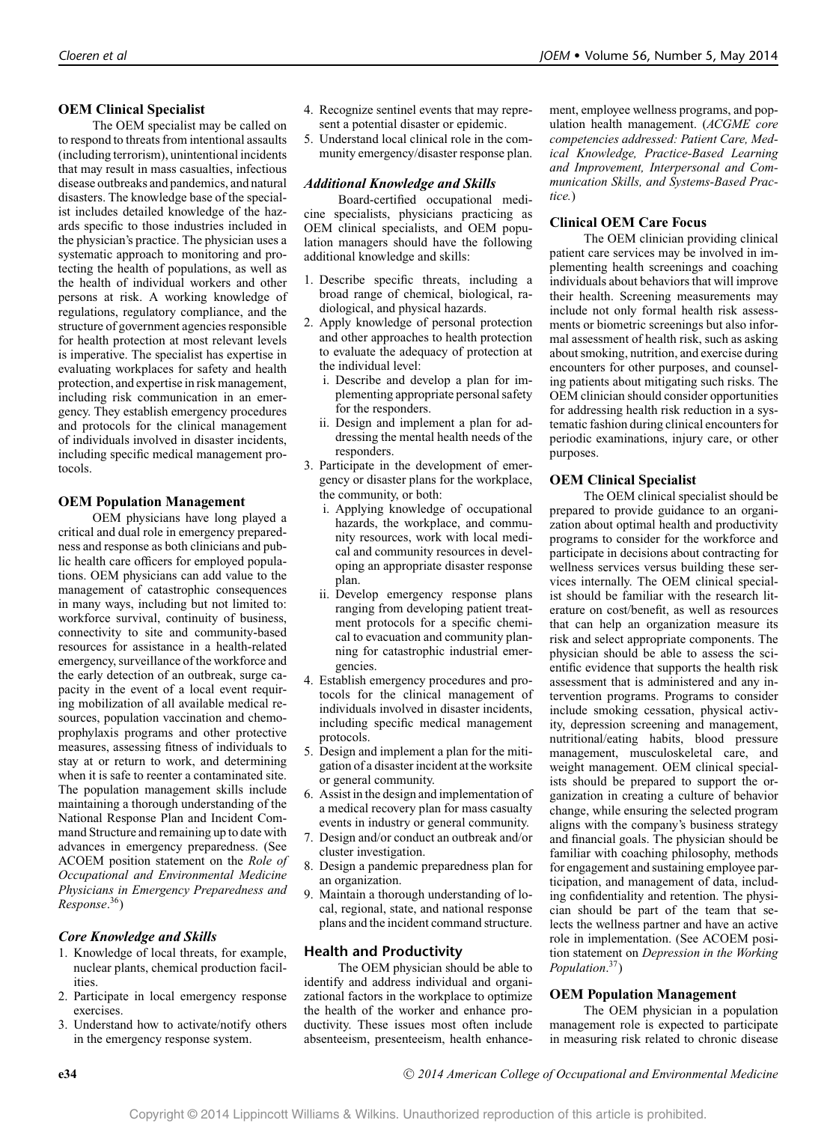### **OEM Clinical Specialist**

The OEM specialist may be called on to respond to threats from intentional assaults (including terrorism), unintentional incidents that may result in mass casualties, infectious disease outbreaks and pandemics, and natural disasters. The knowledge base of the specialist includes detailed knowledge of the hazards specific to those industries included in the physician's practice. The physician uses a systematic approach to monitoring and protecting the health of populations, as well as the health of individual workers and other persons at risk. A working knowledge of regulations, regulatory compliance, and the structure of government agencies responsible for health protection at most relevant levels is imperative. The specialist has expertise in evaluating workplaces for safety and health protection, and expertise in risk management, including risk communication in an emergency. They establish emergency procedures and protocols for the clinical management of individuals involved in disaster incidents, including specific medical management protocols.

#### **OEM Population Management**

OEM physicians have long played a critical and dual role in emergency preparedness and response as both clinicians and public health care officers for employed populations. OEM physicians can add value to the management of catastrophic consequences in many ways, including but not limited to: workforce survival, continuity of business, connectivity to site and community-based resources for assistance in a health-related emergency, surveillance of the workforce and the early detection of an outbreak, surge capacity in the event of a local event requiring mobilization of all available medical resources, population vaccination and chemoprophylaxis programs and other protective measures, assessing fitness of individuals to stay at or return to work, and determining when it is safe to reenter a contaminated site. The population management skills include maintaining a thorough understanding of the National Response Plan and Incident Command Structure and remaining up to date with advances in emergency preparedness. (See ACOEM position statement on the *Role of Occupational and Environmental Medicine Physicians in Emergency Preparedness and Response*. 36)

#### *Core Knowledge and Skills*

- 1. Knowledge of local threats, for example, nuclear plants, chemical production facilities.
- 2. Participate in local emergency response exercises.
- 3. Understand how to activate/notify others in the emergency response system.
- 4. Recognize sentinel events that may represent a potential disaster or epidemic.
- 5. Understand local clinical role in the community emergency/disaster response plan.

### *Additional Knowledge and Skills*

Board-certified occupational medicine specialists, physicians practicing as OEM clinical specialists, and OEM population managers should have the following additional knowledge and skills:

- 1. Describe specific threats, including a broad range of chemical, biological, radiological, and physical hazards.
- 2. Apply knowledge of personal protection and other approaches to health protection to evaluate the adequacy of protection at the individual level:
	- i. Describe and develop a plan for implementing appropriate personal safety for the responders.
	- ii. Design and implement a plan for addressing the mental health needs of the responders.
- 3. Participate in the development of emergency or disaster plans for the workplace, the community, or both:
	- i. Applying knowledge of occupational hazards, the workplace, and community resources, work with local medical and community resources in developing an appropriate disaster response plan.
	- ii. Develop emergency response plans ranging from developing patient treatment protocols for a specific chemical to evacuation and community planning for catastrophic industrial emergencies.
- 4. Establish emergency procedures and protocols for the clinical management of individuals involved in disaster incidents, including specific medical management protocols.
- 5. Design and implement a plan for the mitigation of a disaster incident at the worksite or general community.
- 6. Assist in the design and implementation of a medical recovery plan for mass casualty events in industry or general community.
- 7. Design and/or conduct an outbreak and/or cluster investigation.
- 8. Design a pandemic preparedness plan for an organization.
- 9. Maintain a thorough understanding of local, regional, state, and national response plans and the incident command structure.

#### **Health and Productivity**

The OEM physician should be able to identify and address individual and organizational factors in the workplace to optimize the health of the worker and enhance productivity. These issues most often include absenteeism, presenteeism, health enhance-

ment, employee wellness programs, and population health management. (*ACGME core competencies addressed: Patient Care, Medical Knowledge, Practice-Based Learning and Improvement, Interpersonal and Communication Skills, and Systems-Based Practice.*)

### **Clinical OEM Care Focus**

The OEM clinician providing clinical patient care services may be involved in implementing health screenings and coaching individuals about behaviors that will improve their health. Screening measurements may include not only formal health risk assessments or biometric screenings but also informal assessment of health risk, such as asking about smoking, nutrition, and exercise during encounters for other purposes, and counseling patients about mitigating such risks. The OEM clinician should consider opportunities for addressing health risk reduction in a systematic fashion during clinical encounters for periodic examinations, injury care, or other purposes.

#### **OEM Clinical Specialist**

The OEM clinical specialist should be prepared to provide guidance to an organization about optimal health and productivity programs to consider for the workforce and participate in decisions about contracting for wellness services versus building these services internally. The OEM clinical specialist should be familiar with the research literature on cost/benefit, as well as resources that can help an organization measure its risk and select appropriate components. The physician should be able to assess the scientific evidence that supports the health risk assessment that is administered and any intervention programs. Programs to consider include smoking cessation, physical activity, depression screening and management, nutritional/eating habits, blood pressure management, musculoskeletal care, and weight management. OEM clinical specialists should be prepared to support the organization in creating a culture of behavior change, while ensuring the selected program aligns with the company's business strategy and financial goals. The physician should be familiar with coaching philosophy, methods for engagement and sustaining employee participation, and management of data, including confidentiality and retention. The physician should be part of the team that selects the wellness partner and have an active role in implementation. (See ACOEM position statement on *Depression in the Working Population*. 37)

#### **OEM Population Management**

The OEM physician in a population management role is expected to participate in measuring risk related to chronic disease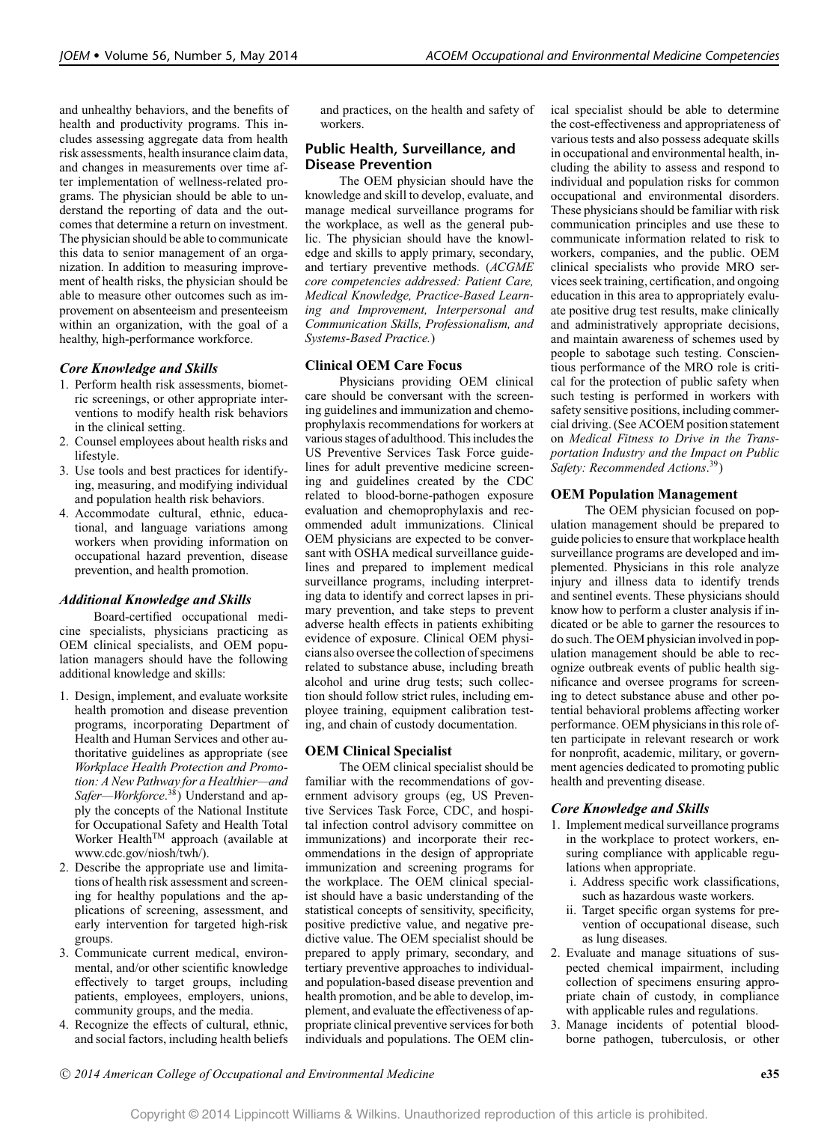and unhealthy behaviors, and the benefits of health and productivity programs. This includes assessing aggregate data from health risk assessments, health insurance claim data, and changes in measurements over time after implementation of wellness-related programs. The physician should be able to understand the reporting of data and the outcomes that determine a return on investment. The physician should be able to communicate this data to senior management of an organization. In addition to measuring improvement of health risks, the physician should be able to measure other outcomes such as improvement on absenteeism and presenteeism within an organization, with the goal of a healthy, high-performance workforce.

### *Core Knowledge and Skills*

- 1. Perform health risk assessments, biometric screenings, or other appropriate interventions to modify health risk behaviors in the clinical setting.
- 2. Counsel employees about health risks and lifestyle.
- 3. Use tools and best practices for identifying, measuring, and modifying individual and population health risk behaviors.
- 4. Accommodate cultural, ethnic, educational, and language variations among workers when providing information on occupational hazard prevention, disease prevention, and health promotion.

#### *Additional Knowledge and Skills*

Board-certified occupational medicine specialists, physicians practicing as OEM clinical specialists, and OEM population managers should have the following additional knowledge and skills:

- 1. Design, implement, and evaluate worksite health promotion and disease prevention programs, incorporating Department of Health and Human Services and other authoritative guidelines as appropriate (see *Workplace Health Protection and Promotion: A New Pathway for a Healthier—and Safer—Workforce*. 38) Understand and apply the concepts of the National Institute for Occupational Safety and Health Total Worker Health™ approach (available at [www.cdc.gov/niosh/twh/\)](http://www.cdc.gov/niosh/twh/).
- 2. Describe the appropriate use and limitations of health risk assessment and screening for healthy populations and the applications of screening, assessment, and early intervention for targeted high-risk groups.
- 3. Communicate current medical, environmental, and/or other scientific knowledge effectively to target groups, including patients, employees, employers, unions, community groups, and the media.
- 4. Recognize the effects of cultural, ethnic, and social factors, including health beliefs

and practices, on the health and safety of workers.

### **Public Health, Surveillance, and Disease Prevention**

The OEM physician should have the knowledge and skill to develop, evaluate, and manage medical surveillance programs for the workplace, as well as the general public. The physician should have the knowledge and skills to apply primary, secondary, and tertiary preventive methods. (*ACGME core competencies addressed: Patient Care, Medical Knowledge, Practice-Based Learning and Improvement, Interpersonal and Communication Skills, Professionalism, and Systems-Based Practice.*)

#### **Clinical OEM Care Focus**

Physicians providing OEM clinical care should be conversant with the screening guidelines and immunization and chemoprophylaxis recommendations for workers at various stages of adulthood. This includes the US Preventive Services Task Force guidelines for adult preventive medicine screening and guidelines created by the CDC related to blood-borne-pathogen exposure evaluation and chemoprophylaxis and recommended adult immunizations. Clinical OEM physicians are expected to be conversant with OSHA medical surveillance guidelines and prepared to implement medical surveillance programs, including interpreting data to identify and correct lapses in primary prevention, and take steps to prevent adverse health effects in patients exhibiting evidence of exposure. Clinical OEM physicians also oversee the collection of specimens related to substance abuse, including breath alcohol and urine drug tests; such collection should follow strict rules, including employee training, equipment calibration testing, and chain of custody documentation.

#### **OEM Clinical Specialist**

The OEM clinical specialist should be familiar with the recommendations of government advisory groups (eg, US Preventive Services Task Force, CDC, and hospital infection control advisory committee on immunizations) and incorporate their recommendations in the design of appropriate immunization and screening programs for the workplace. The OEM clinical specialist should have a basic understanding of the statistical concepts of sensitivity, specificity, positive predictive value, and negative predictive value. The OEM specialist should be prepared to apply primary, secondary, and tertiary preventive approaches to individualand population-based disease prevention and health promotion, and be able to develop, implement, and evaluate the effectiveness of appropriate clinical preventive services for both individuals and populations. The OEM clin-

ical specialist should be able to determine the cost-effectiveness and appropriateness of various tests and also possess adequate skills in occupational and environmental health, including the ability to assess and respond to individual and population risks for common occupational and environmental disorders. These physicians should be familiar with risk communication principles and use these to communicate information related to risk to workers, companies, and the public. OEM clinical specialists who provide MRO services seek training, certification, and ongoing education in this area to appropriately evaluate positive drug test results, make clinically and administratively appropriate decisions, and maintain awareness of schemes used by people to sabotage such testing. Conscientious performance of the MRO role is critical for the protection of public safety when such testing is performed in workers with safety sensitive positions, including commercial driving. (See ACOEM position statement on *Medical Fitness to Drive in the Transportation Industry and the Impact on Public Safety: Recommended Actions*. 39)

#### **OEM Population Management**

The OEM physician focused on population management should be prepared to guide policies to ensure that workplace health surveillance programs are developed and implemented. Physicians in this role analyze injury and illness data to identify trends and sentinel events. These physicians should know how to perform a cluster analysis if indicated or be able to garner the resources to do such. The OEM physician involved in population management should be able to recognize outbreak events of public health significance and oversee programs for screening to detect substance abuse and other potential behavioral problems affecting worker performance. OEM physicians in this role often participate in relevant research or work for nonprofit, academic, military, or government agencies dedicated to promoting public health and preventing disease.

- 1. Implement medical surveillance programs in the workplace to protect workers, ensuring compliance with applicable regulations when appropriate.
	- i. Address specific work classifications, such as hazardous waste workers.
	- ii. Target specific organ systems for prevention of occupational disease, such as lung diseases.
- 2. Evaluate and manage situations of suspected chemical impairment, including collection of specimens ensuring appropriate chain of custody, in compliance with applicable rules and regulations.
- 3. Manage incidents of potential bloodborne pathogen, tuberculosis, or other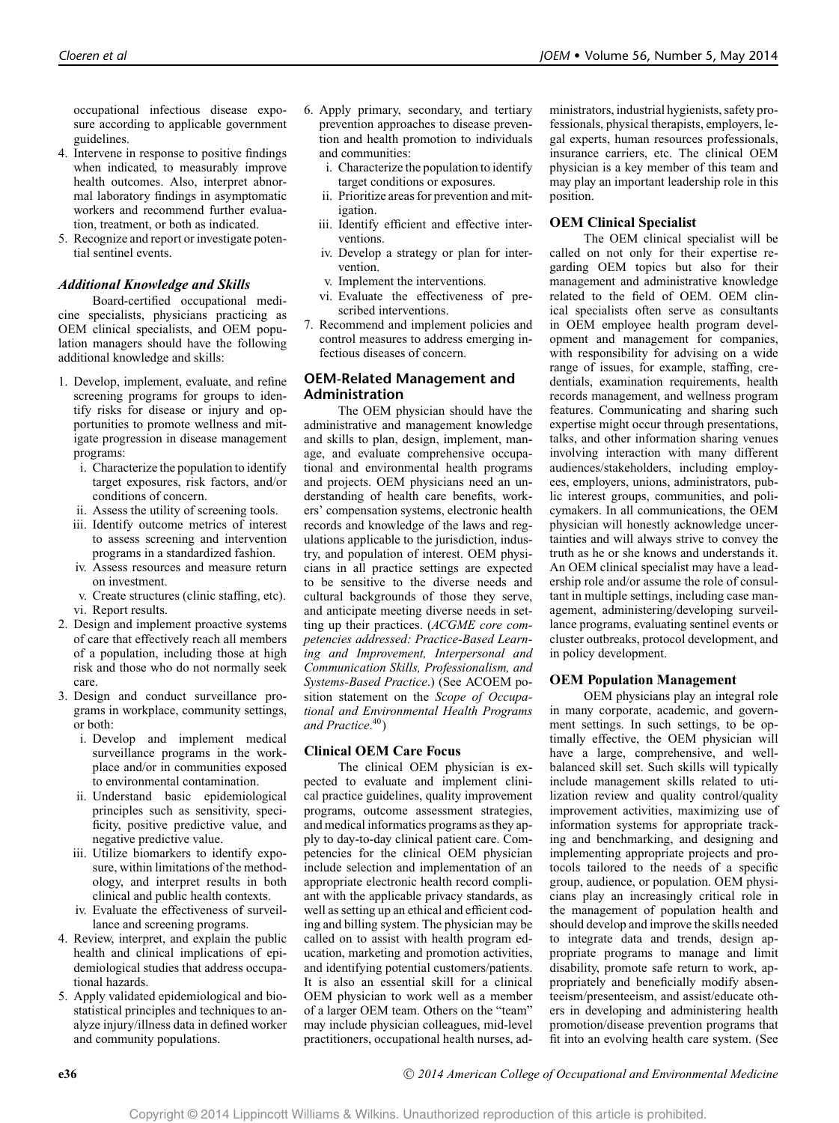occupational infectious disease exposure according to applicable government guidelines.

- 4. Intervene in response to positive findings when indicated, to measurably improve health outcomes. Also, interpret abnormal laboratory findings in asymptomatic workers and recommend further evaluation, treatment, or both as indicated.
- 5. Recognize and report or investigate potential sentinel events.

#### *Additional Knowledge and Skills*

Board-certified occupational medicine specialists, physicians practicing as OEM clinical specialists, and OEM population managers should have the following additional knowledge and skills:

- 1. Develop, implement, evaluate, and refine screening programs for groups to identify risks for disease or injury and opportunities to promote wellness and mitigate progression in disease management programs:
	- i. Characterize the population to identify target exposures, risk factors, and/or conditions of concern.
	- ii. Assess the utility of screening tools.
	- iii. Identify outcome metrics of interest to assess screening and intervention programs in a standardized fashion.
	- iv. Assess resources and measure return on investment.
	- v. Create structures (clinic staffing, etc). vi. Report results.
- 2. Design and implement proactive systems of care that effectively reach all members of a population, including those at high risk and those who do not normally seek care.
- 3. Design and conduct surveillance programs in workplace, community settings, or both:
	- i. Develop and implement medical surveillance programs in the workplace and/or in communities exposed to environmental contamination.
	- ii. Understand basic epidemiological principles such as sensitivity, specificity, positive predictive value, and negative predictive value.
	- iii. Utilize biomarkers to identify exposure, within limitations of the methodology, and interpret results in both clinical and public health contexts.
	- iv. Evaluate the effectiveness of surveillance and screening programs.
- 4. Review, interpret, and explain the public health and clinical implications of epidemiological studies that address occupational hazards.
- 5. Apply validated epidemiological and biostatistical principles and techniques to analyze injury/illness data in defined worker and community populations.
- 6. Apply primary, secondary, and tertiary prevention approaches to disease prevention and health promotion to individuals and communities:
	- i. Characterize the population to identify target conditions or exposures.
	- ii. Prioritize areas for prevention and mitigation.
	- iii. Identify efficient and effective interventions.
	- iv. Develop a strategy or plan for intervention.
	- v. Implement the interventions.
	- vi. Evaluate the effectiveness of prescribed interventions.
- 7. Recommend and implement policies and control measures to address emerging infectious diseases of concern.

## **OEM-Related Management and Administration**

The OEM physician should have the administrative and management knowledge and skills to plan, design, implement, manage, and evaluate comprehensive occupational and environmental health programs and projects. OEM physicians need an understanding of health care benefits, workers' compensation systems, electronic health records and knowledge of the laws and regulations applicable to the jurisdiction, industry, and population of interest. OEM physicians in all practice settings are expected to be sensitive to the diverse needs and cultural backgrounds of those they serve, and anticipate meeting diverse needs in setting up their practices. (*ACGME core competencies addressed: Practice-Based Learning and Improvement, Interpersonal and Communication Skills, Professionalism, and Systems-Based Practice*.) (See ACOEM position statement on the *Scope of Occupational and Environmental Health Programs and Practice*. 40)

#### **Clinical OEM Care Focus**

The clinical OEM physician is expected to evaluate and implement clinical practice guidelines, quality improvement programs, outcome assessment strategies, and medical informatics programs as they apply to day-to-day clinical patient care. Competencies for the clinical OEM physician include selection and implementation of an appropriate electronic health record compliant with the applicable privacy standards, as well as setting up an ethical and efficient coding and billing system. The physician may be called on to assist with health program education, marketing and promotion activities, and identifying potential customers/patients. It is also an essential skill for a clinical OEM physician to work well as a member of a larger OEM team. Others on the "team" may include physician colleagues, mid-level practitioners, occupational health nurses, ad-

ministrators, industrial hygienists, safety professionals, physical therapists, employers, legal experts, human resources professionals, insurance carriers, etc. The clinical OEM physician is a key member of this team and may play an important leadership role in this position.

#### **OEM Clinical Specialist**

The OEM clinical specialist will be called on not only for their expertise regarding OEM topics but also for their management and administrative knowledge related to the field of OEM. OEM clinical specialists often serve as consultants in OEM employee health program development and management for companies, with responsibility for advising on a wide range of issues, for example, staffing, credentials, examination requirements, health records management, and wellness program features. Communicating and sharing such expertise might occur through presentations, talks, and other information sharing venues involving interaction with many different audiences/stakeholders, including employees, employers, unions, administrators, public interest groups, communities, and policymakers. In all communications, the OEM physician will honestly acknowledge uncertainties and will always strive to convey the truth as he or she knows and understands it. An OEM clinical specialist may have a leadership role and/or assume the role of consultant in multiple settings, including case management, administering/developing surveillance programs, evaluating sentinel events or cluster outbreaks, protocol development, and in policy development.

#### **OEM Population Management**

OEM physicians play an integral role in many corporate, academic, and government settings. In such settings, to be optimally effective, the OEM physician will have a large, comprehensive, and wellbalanced skill set. Such skills will typically include management skills related to utilization review and quality control/quality improvement activities, maximizing use of information systems for appropriate tracking and benchmarking, and designing and implementing appropriate projects and protocols tailored to the needs of a specific group, audience, or population. OEM physicians play an increasingly critical role in the management of population health and should develop and improve the skills needed to integrate data and trends, design appropriate programs to manage and limit disability, promote safe return to work, appropriately and beneficially modify absenteeism/presenteeism, and assist/educate others in developing and administering health promotion/disease prevention programs that fit into an evolving health care system. (See

**e36** <sup>C</sup> *2014 American College of Occupational and Environmental Medicine*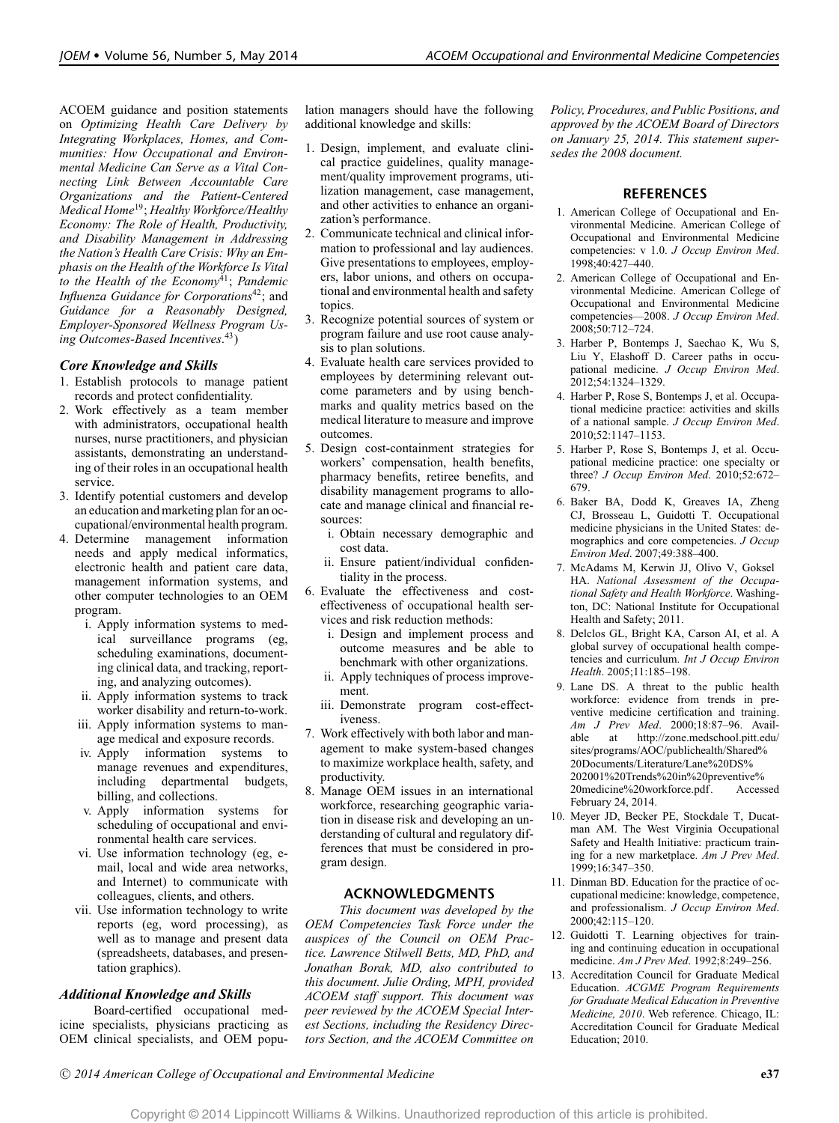ACOEM guidance and position statements on *Optimizing Health Care Delivery by Integrating Workplaces, Homes, and Communities: How Occupational and Environmental Medicine Can Serve as a Vital Connecting Link Between Accountable Care Organizations and the Patient-Centered Medical Home*19; *Healthy Workforce/Healthy Economy: The Role of Health, Productivity, and Disability Management in Addressing the Nation's Health Care Crisis: Why an Emphasis on the Health of the Workforce Is Vital to the Health of the Economy*41; *Pandemic Influenza Guidance for Corporations*42; and *Guidance for a Reasonably Designed, Employer-Sponsored Wellness Program Using Outcomes-Based Incentives*. 43)

#### *Core Knowledge and Skills*

- 1. Establish protocols to manage patient records and protect confidentiality.
- 2. Work effectively as a team member with administrators, occupational health nurses, nurse practitioners, and physician assistants, demonstrating an understanding of their roles in an occupational health service.
- 3. Identify potential customers and develop an education and marketing plan for an occupational/environmental health program.
- 4. Determine management information needs and apply medical informatics, electronic health and patient care data, management information systems, and other computer technologies to an OEM program.
	- i. Apply information systems to medical surveillance programs (eg, scheduling examinations, documenting clinical data, and tracking, reporting, and analyzing outcomes).
	- ii. Apply information systems to track worker disability and return-to-work.
	- iii. Apply information systems to manage medical and exposure records.
	- iv. Apply information systems to manage revenues and expenditures, including departmental budgets, billing, and collections.
	- v. Apply information systems for scheduling of occupational and environmental health care services.
	- vi. Use information technology (eg, email, local and wide area networks, and Internet) to communicate with colleagues, clients, and others.
	- vii. Use information technology to write reports (eg, word processing), as well as to manage and present data (spreadsheets, databases, and presentation graphics).

#### *Additional Knowledge and Skills*

Board-certified occupational medicine specialists, physicians practicing as OEM clinical specialists, and OEM population managers should have the following additional knowledge and skills:

- 1. Design, implement, and evaluate clinical practice guidelines, quality management/quality improvement programs, utilization management, case management, and other activities to enhance an organization's performance.
- 2. Communicate technical and clinical information to professional and lay audiences. Give presentations to employees, employers, labor unions, and others on occupational and environmental health and safety topics.
- 3. Recognize potential sources of system or program failure and use root cause analysis to plan solutions.
- 4. Evaluate health care services provided to employees by determining relevant outcome parameters and by using benchmarks and quality metrics based on the medical literature to measure and improve outcomes.
- 5. Design cost-containment strategies for workers' compensation, health benefits, pharmacy benefits, retiree benefits, and disability management programs to allocate and manage clinical and financial resources:
	- i. Obtain necessary demographic and cost data.
	- ii. Ensure patient/individual confidentiality in the process.
- 6. Evaluate the effectiveness and costeffectiveness of occupational health services and risk reduction methods:
	- i. Design and implement process and outcome measures and be able to benchmark with other organizations.
	- ii. Apply techniques of process improvement.
	- iii. Demonstrate program cost-effectiveness.
- 7. Work effectively with both labor and management to make system-based changes to maximize workplace health, safety, and productivity.
- 8. Manage OEM issues in an international workforce, researching geographic variation in disease risk and developing an understanding of cultural and regulatory differences that must be considered in program design.

#### **ACKNOWLEDGMENTS**

*This document was developed by the OEM Competencies Task Force under the auspices of the Council on OEM Practice. Lawrence Stilwell Betts, MD, PhD, and Jonathan Borak, MD, also contributed to this document. Julie Ording, MPH, provided ACOEM staff support. This document was peer reviewed by the ACOEM Special Interest Sections, including the Residency Directors Section, and the ACOEM Committee on*

*Policy, Procedures, and Public Positions, and approved by the ACOEM Board of Directors on January 25, 2014. This statement supersedes the 2008 document.*

#### **REFERENCES**

- 1. American College of Occupational and Environmental Medicine. American College of Occupational and Environmental Medicine competencies: v 1.0. *J Occup Environ Med*. 1998;40:427–440.
- 2. American College of Occupational and Environmental Medicine. American College of Occupational and Environmental Medicine competencies—2008. *J Occup Environ Med*. 2008;50:712–724.
- 3. Harber P, Bontemps J, Saechao K, Wu S, Liu Y, Elashoff D. Career paths in occupational medicine. *J Occup Environ Med*. 2012;54:1324–1329.
- 4. Harber P, Rose S, Bontemps J, et al. Occupational medicine practice: activities and skills of a national sample. *J Occup Environ Med*. 2010;52:1147–1153.
- 5. Harber P, Rose S, Bontemps J, et al. Occupational medicine practice: one specialty or three? *J Occup Environ Med*. 2010;52:672– 679.
- 6. Baker BA, Dodd K, Greaves IA, Zheng CJ, Brosseau L, Guidotti T. Occupational medicine physicians in the United States: demographics and core competencies. *J Occup Environ Med*. 2007;49:388–400.
- 7. McAdams M, Kerwin JJ, Olivo V, Goksel HA. *National Assessment of the Occupational Safety and Health Workforce*. Washington, DC: National Institute for Occupational Health and Safety; 2011.
- 8. Delclos GL, Bright KA, Carson AI, et al. A global survey of occupational health competencies and curriculum. *Int J Occup Environ Health*. 2005;11:185–198.
- 9. Lane DS. A threat to the public health workforce: evidence from trends in preventive medicine certification and training. *Am J Prev Med*. 2000;18:87–96. Available at [http://zone.medschool.pitt.edu/](http://zone.medschool.pitt.edu/sites/programs/AOC/publichealth/Shared%20Documents/Literature/Lane%20DS%202001%20Trends%20in%20preventive%20medicine%20workforce.pdf) [sites/programs/AOC/publichealth/Shared%](http://zone.medschool.pitt.edu/sites/programs/AOC/publichealth/Shared%20Documents/Literature/Lane%20DS%202001%20Trends%20in%20preventive%20medicine%20workforce.pdf) [20Documents/Literature/Lane%20DS%](http://zone.medschool.pitt.edu/sites/programs/AOC/publichealth/Shared%20Documents/Literature/Lane%20DS%202001%20Trends%20in%20preventive%20medicine%20workforce.pdf) [202001%20Trends%20in%20preventive%](http://zone.medschool.pitt.edu/sites/programs/AOC/publichealth/Shared%20Documents/Literature/Lane%20DS%202001%20Trends%20in%20preventive%20medicine%20workforce.pdf) [20medicine%20workforce.pdf.](http://zone.medschool.pitt.edu/sites/programs/AOC/publichealth/Shared%20Documents/Literature/Lane%20DS%202001%20Trends%20in%20preventive%20medicine%20workforce.pdf) Accessed February 24, 2014.
- 10. Meyer JD, Becker PE, Stockdale T, Ducatman AM. The West Virginia Occupational Safety and Health Initiative: practicum training for a new marketplace. *Am J Prev Med*. 1999;16:347–350.
- 11. Dinman BD. Education for the practice of occupational medicine: knowledge, competence, and professionalism. *J Occup Environ Med*. 2000;42:115–120.
- 12. Guidotti T. Learning objectives for training and continuing education in occupational medicine. *Am J Prev Med*. 1992;8:249–256.
- 13. Accreditation Council for Graduate Medical Education. *ACGME Program Requirements for Graduate Medical Education in Preventive Medicine, 2010*. Web reference. Chicago, IL: Accreditation Council for Graduate Medical Education; 2010.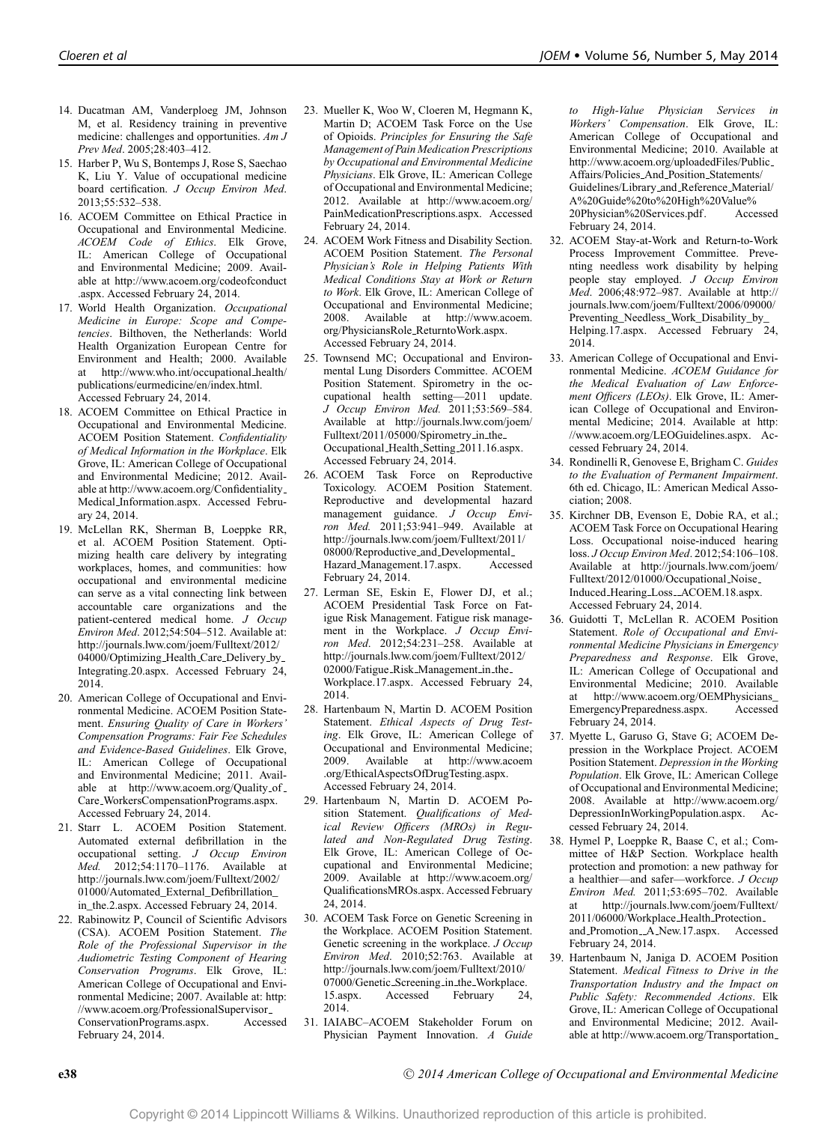- 14. Ducatman AM, Vanderploeg JM, Johnson M, et al. Residency training in preventive medicine: challenges and opportunities. *Am J Prev Med*. 2005;28:403–412.
- 15. Harber P, Wu S, Bontemps J, Rose S, Saechao K, Liu Y. Value of occupational medicine board certification. *J Occup Environ Med*. 2013;55:532–538.
- 16. ACOEM Committee on Ethical Practice in Occupational and Environmental Medicine. *ACOEM Code of Ethics*. Elk Grove, IL: American College of Occupational and Environmental Medicine; 2009. Available at [http://www.acoem.org/codeofconduct](http://www.acoem.org/codeofconduct.aspx) [.aspx.](http://www.acoem.org/codeofconduct.aspx) Accessed February 24, 2014.
- 17. World Health Organization. *Occupational Medicine in Europe: Scope and Competencies*. Bilthoven, the Netherlands: World Health Organization European Centre for Environment and Health; 2000. Available at [http://www.who.int/occupational](http://www.who.int/occupational_health/publications/eurmedicine/en/index.html) health/ [publications/eurmedicine/en/index.html.](http://www.who.int/occupational_health/publications/eurmedicine/en/index.html) Accessed February 24, 2014.
- 18. ACOEM Committee on Ethical Practice in Occupational and Environmental Medicine. ACOEM Position Statement. *Confidentiality of Medical Information in the Workplace*. Elk Grove, IL: American College of Occupational and Environmental Medicine; 2012. Available at [http://www.acoem.org/Confidentiality](http://www.acoem.org/Confidentiality_Medical_Information.aspx) Medical [Information.aspx.](http://www.acoem.org/Confidentiality_Medical_Information.aspx) Accessed February 24, 2014.
- 19. McLellan RK, Sherman B, Loeppke RR, et al. ACOEM Position Statement. Optimizing health care delivery by integrating workplaces, homes, and communities: how occupational and environmental medicine can serve as a vital connecting link between accountable care organizations and the patient-centered medical home. *J Occup Environ Med*. 2012;54:504–512. Available at: [http://journals.lww.com/joem/Fulltext/2012/](http://journals.lww.com/joem/Fulltext/2012/04000/Optimizing_Health_Care_Delivery_by_Integrating.20.aspx) [04000/Optimizing](http://journals.lww.com/joem/Fulltext/2012/04000/Optimizing_Health_Care_Delivery_by_Integrating.20.aspx) Health Care Delivery by [Integrating.20.aspx.](http://journals.lww.com/joem/Fulltext/2012/04000/Optimizing_Health_Care_Delivery_by_Integrating.20.aspx) Accessed February 24, 2014.
- 20. American College of Occupational and Environmental Medicine. ACOEM Position Statement. *Ensuring Quality of Care in Workers' Compensation Programs: Fair Fee Schedules and Evidence-Based Guidelines*. Elk Grove, IL: American College of Occupational and Environmental Medicine; 2011. Available at [http://www.acoem.org/Quality](http://www.acoem.org/Quality_of_Care_WorkersCompensationPrograms.aspx)\_of\_ Care [WorkersCompensationPrograms.aspx.](http://www.acoem.org/Quality_of_Care_WorkersCompensationPrograms.aspx) Accessed February 24, 2014.
- 21. Starr L. ACOEM Position Statement. Automated external defibrillation in the occupational setting. *J Occup Environ Med.* 2012;54:1170–1176. Available at [http://journals.lww.com/joem/Fulltext/2002/](http://journals.lww.com/joem/Fulltext/2002/01000/Automated_External_Defibrillation_in_the.2.aspx) [01000/Automated\\_External\\_Defibrillation\\_](http://journals.lww.com/joem/Fulltext/2002/01000/Automated_External_Defibrillation_in_the.2.aspx) [in\\_the.2.aspx.](http://journals.lww.com/joem/Fulltext/2002/01000/Automated_External_Defibrillation_in_the.2.aspx) Accessed February 24, 2014.
- 22. Rabinowitz P, Council of Scientific Advisors (CSA). ACOEM Position Statement. *The Role of the Professional Supervisor in the Audiometric Testing Component of Hearing Conservation Programs*. Elk Grove, IL: American College of Occupational and Environmental Medicine; 2007. Available at: [http:](http://www.acoem.org/ProfessionalSupervisor_ConservationPrograms.aspx) [//www.acoem.org/ProfessionalSupervisor](http://www.acoem.org/ProfessionalSupervisor_ConservationPrograms.aspx) [ConservationPrograms.aspx.](http://www.acoem.org/ProfessionalSupervisor_ConservationPrograms.aspx) Accessed February 24, 2014.
- 23. Mueller K, Woo W, Cloeren M, Hegmann K, Martin D; ACOEM Task Force on the Use of Opioids. *Principles for Ensuring the Safe Management of Pain Medication Prescriptions by Occupational and Environmental Medicine Physicians*. Elk Grove, IL: American College of Occupational and Environmental Medicine; 2012. Available at [http://www.acoem.org/](http://www.acoem.org/PainMedicationPrescriptions.aspx) [PainMedicationPrescriptions.aspx.](http://www.acoem.org/PainMedicationPrescriptions.aspx) Accessed February 24, 2014.
- 24. ACOEM Work Fitness and Disability Section. ACOEM Position Statement. *The Personal Physician's Role in Helping Patients With Medical Conditions Stay at Work or Return to Work*. Elk Grove, IL: American College of Occupational and Environmental Medicine; 2008. Available at [http://www.acoem.](http://www.acoem.org/PhysiciansRole_ReturntoWork.aspx) org/PhysiciansRole\_[ReturntoWork.aspx.](http://www.acoem.org/PhysiciansRole_ReturntoWork.aspx) Accessed February 24, 2014.
- 25. Townsend MC; Occupational and Environmental Lung Disorders Committee. ACOEM Position Statement. Spirometry in the occupational health setting—2011 update. *J Occup Environ Med.* 2011;53:569–584. Available at [http://journals.lww.com/joem/](http://journals.lww.com/joem/Fulltext/2011/05000/Spirometry_in_the_Occupational_Health_Setting_2011.16.aspx) [Fulltext/2011/05000/Spirometry](http://journals.lww.com/joem/Fulltext/2011/05000/Spirometry_in_the_Occupational_Health_Setting_2011.16.aspx)\_in\_the\_ Occupational Health Setting [2011.16.aspx.](http://journals.lww.com/joem/Fulltext/2011/05000/Spirometry_in_the_Occupational_Health_Setting_2011.16.aspx) Accessed February 24, 2014.
- 26. ACOEM Task Force on Reproductive Toxicology. ACOEM Position Statement. Reproductive and developmental hazard management guidance. *J Occup Environ Med.* 2011;53:941–949. Available at [http://journals.lww.com/joem/Fulltext/2011/](http://journals.lww.com/joem/Fulltext/2011/08000/Reproductive_and_Developmental_Hazard_Management.17.aspx) [08000/Reproductive](http://journals.lww.com/joem/Fulltext/2011/08000/Reproductive_and_Developmental_Hazard_Management.17.aspx) and Developmental Hazard [Management.17.aspx.](http://journals.lww.com/joem/Fulltext/2011/08000/Reproductive_and_Developmental_Hazard_Management.17.aspx) Accessed February 24, 2014.
- 27. Lerman SE, Eskin E, Flower DJ, et al.; ACOEM Presidential Task Force on Fatigue Risk Management. Fatigue risk management in the Workplace. *J Occup Environ Med*. 2012;54:231–258. Available at [http://journals.lww.com/joem/Fulltext/2012/](http://journals.lww.com/joem/Fulltext/2012/02000/Fatigue_Risk_Management_in_the_Workplace.17.aspx) [02000/Fatigue](http://journals.lww.com/joem/Fulltext/2012/02000/Fatigue_Risk_Management_in_the_Workplace.17.aspx)\_Risk\_Management\_in\_the\_ [Workplace.17.aspx.](http://journals.lww.com/joem/Fulltext/2012/02000/Fatigue_Risk_Management_in_the_Workplace.17.aspx) Accessed February 24, 2014.
- 28. Hartenbaum N, Martin D. ACOEM Position Statement. *Ethical Aspects of Drug Testing*. Elk Grove, IL: American College of Occupational and Environmental Medicine; 2009. Available at [http://www.acoem](http://www.acoem.org/EthicalAspectsOfDrugTesting.aspx) [.org/EthicalAspectsOfDrugTesting.aspx.](http://www.acoem.org/EthicalAspectsOfDrugTesting.aspx) Accessed February 24, 2014.
- 29. Hartenbaum N, Martin D. ACOEM Position Statement. *Qualifications of Medical Review Officers (MROs) in Regulated and Non-Regulated Drug Testing*. Elk Grove, IL: American College of Occupational and Environmental Medicine; 2009. Available at [http://www.acoem.org/](http://www.acoem.org/QualificationsMROs.aspx) [QualificationsMROs.aspx.](http://www.acoem.org/QualificationsMROs.aspx) Accessed February 24, 2014.
- 30. ACOEM Task Force on Genetic Screening in the Workplace. ACOEM Position Statement. Genetic screening in the workplace. *J Occup Environ Med*. 2010;52:763. Available at [http://journals.lww.com/joem/Fulltext/2010/](http://journals.lww.com/joem/Fulltext/2010/07000/Genetic_Screening_in_the_Workplace.15.aspx) [07000/Genetic](http://journals.lww.com/joem/Fulltext/2010/07000/Genetic_Screening_in_the_Workplace.15.aspx) Screening in the Workplace. [15.aspx.](http://journals.lww.com/joem/Fulltext/2010/07000/Genetic_Screening_in_the_Workplace.15.aspx) Accessed February 2014.
- 31. IAIABC–ACOEM Stakeholder Forum on Physician Payment Innovation. *A Guide*

*to High-Value Physician Services in Workers' Compensation*. Elk Grove, IL: American College of Occupational and Environmental Medicine; 2010. Available at [http://www.acoem.org/uploadedFiles/Public](http://www.acoem.org/uploadedFiles/Public_Affairs/Policies_And_Position_Statements/Guidelines/Library_and_Reference_Material/A%20Guide%20to%20High%20Value%20Physician%20Services.pdf) [Affairs/Policies](http://www.acoem.org/uploadedFiles/Public_Affairs/Policies_And_Position_Statements/Guidelines/Library_and_Reference_Material/A%20Guide%20to%20High%20Value%20Physician%20Services.pdf) And Position Statements/ [Guidelines/Library](http://www.acoem.org/uploadedFiles/Public_Affairs/Policies_And_Position_Statements/Guidelines/Library_and_Reference_Material/A%20Guide%20to%20High%20Value%20Physician%20Services.pdf) and Reference Material/ [A%20Guide%20to%20High%20Value%](http://www.acoem.org/uploadedFiles/Public_Affairs/Policies_And_Position_Statements/Guidelines/Library_and_Reference_Material/A%20Guide%20to%20High%20Value%20Physician%20Services.pdf) [20Physician%20Services.pdf.](http://www.acoem.org/uploadedFiles/Public_Affairs/Policies_And_Position_Statements/Guidelines/Library_and_Reference_Material/A%20Guide%20to%20High%20Value%20Physician%20Services.pdf) Accessed February 24, 2014.

- 32. ACOEM Stay-at-Work and Return-to-Work Process Improvement Committee. Preventing needless work disability by helping people stay employed. *J Occup Environ Med*. 2006;48:972–987. Available at [http://](http://journals.lww.com/joem/Fulltext/2006/09000/Preventing_Needless_Work_Disability_by_Helping.17.aspx) [journals.lww.com/joem/Fulltext/2006/09000/](http://journals.lww.com/joem/Fulltext/2006/09000/Preventing_Needless_Work_Disability_by_Helping.17.aspx) [Preventing\\_Needless\\_Work\\_Disability\\_by\\_](http://journals.lww.com/joem/Fulltext/2006/09000/Preventing_Needless_Work_Disability_by_Helping.17.aspx) [Helping.17.aspx.](http://journals.lww.com/joem/Fulltext/2006/09000/Preventing_Needless_Work_Disability_by_Helping.17.aspx) Accessed February 24, 2014.
- 33. American College of Occupational and Environmental Medicine. *ACOEM Guidance for the Medical Evaluation of Law Enforcement Officers (LEOs)*. Elk Grove, IL: American College of Occupational and Environmental Medicine; 2014. Available at [http:](http://www.acoem.org/LEOGuidelines.aspx) [//www.acoem.org/LEOGuidelines.aspx.](http://www.acoem.org/LEOGuidelines.aspx) Accessed February 24, 2014.
- 34. Rondinelli R, Genovese E, Brigham C. *Guides to the Evaluation of Permanent Impairment*. 6th ed. Chicago, IL: American Medical Association; 2008.
- 35. Kirchner DB, Evenson E, Dobie RA, et al.; ACOEM Task Force on Occupational Hearing Loss. Occupational noise-induced hearing loss. *J Occup Environ Med*. 2012;54:106–108. Available at [http://journals.lww.com/joem/](http://journals.lww.com/joem/Fulltext/2012/01000/Occupational_Noise_Induced_Hearing_Loss__ACOEM.18.aspx) [Fulltext/2012/01000/Occupational](http://journals.lww.com/joem/Fulltext/2012/01000/Occupational_Noise_Induced_Hearing_Loss__ACOEM.18.aspx) Noise Induced Hearing Loss [ACOEM.18.aspx.](http://journals.lww.com/joem/Fulltext/2012/01000/Occupational_Noise_Induced_Hearing_Loss__ACOEM.18.aspx) Accessed February 24, 2014.
- 36. Guidotti T, McLellan R. ACOEM Position Statement. *Role of Occupational and Environmental Medicine Physicians in Emergency Preparedness and Response*. Elk Grove, IL: American College of Occupational and Environmental Medicine; 2010. Available at [http://www.acoem.org/OEMPhysicians\\_](http://www.acoem.org/OEMPhysicians_EmergencyPreparedness.aspx) [EmergencyPreparedness.aspx.](http://www.acoem.org/OEMPhysicians_EmergencyPreparedness.aspx) Accessed February 24, 2014.
- 37. Myette L, Garuso G, Stave G; ACOEM Depression in the Workplace Project. ACOEM Position Statement. *Depression in the Working Population*. Elk Grove, IL: American College of Occupational and Environmental Medicine; 2008. Available at [http://www.acoem.org/](http://www.acoem.org/DepressionInWorkingPopulation.aspx) [DepressionInWorkingPopulation.aspx.](http://www.acoem.org/DepressionInWorkingPopulation.aspx) Accessed February 24, 2014.
- 38. Hymel P, Loeppke R, Baase C, et al.; Committee of H&P Section. Workplace health protection and promotion: a new pathway for a healthier—and safer—workforce. *J Occup Environ Med.* 2011;53:695–702. Available at [http://journals.lww.com/joem/Fulltext/](http://journals.lww.com/joem/Fulltext/2011/06000/Workplace_Health_Protection_and_Promotion__A_New.17.aspx) [2011/06000/Workplace](http://journals.lww.com/joem/Fulltext/2011/06000/Workplace_Health_Protection_and_Promotion__A_New.17.aspx) Health Protection and Promotion A [New.17.aspx.](http://journals.lww.com/joem/Fulltext/2011/06000/Workplace_Health_Protection_and_Promotion__A_New.17.aspx) Accessed February 24, 2014.
- 39. Hartenbaum N, Janiga D. ACOEM Position Statement. *Medical Fitness to Drive in the Transportation Industry and the Impact on Public Safety: Recommended Actions*. Elk Grove, IL: American College of Occupational and Environmental Medicine; 2012. Available at http://www.acoem.org/Transportation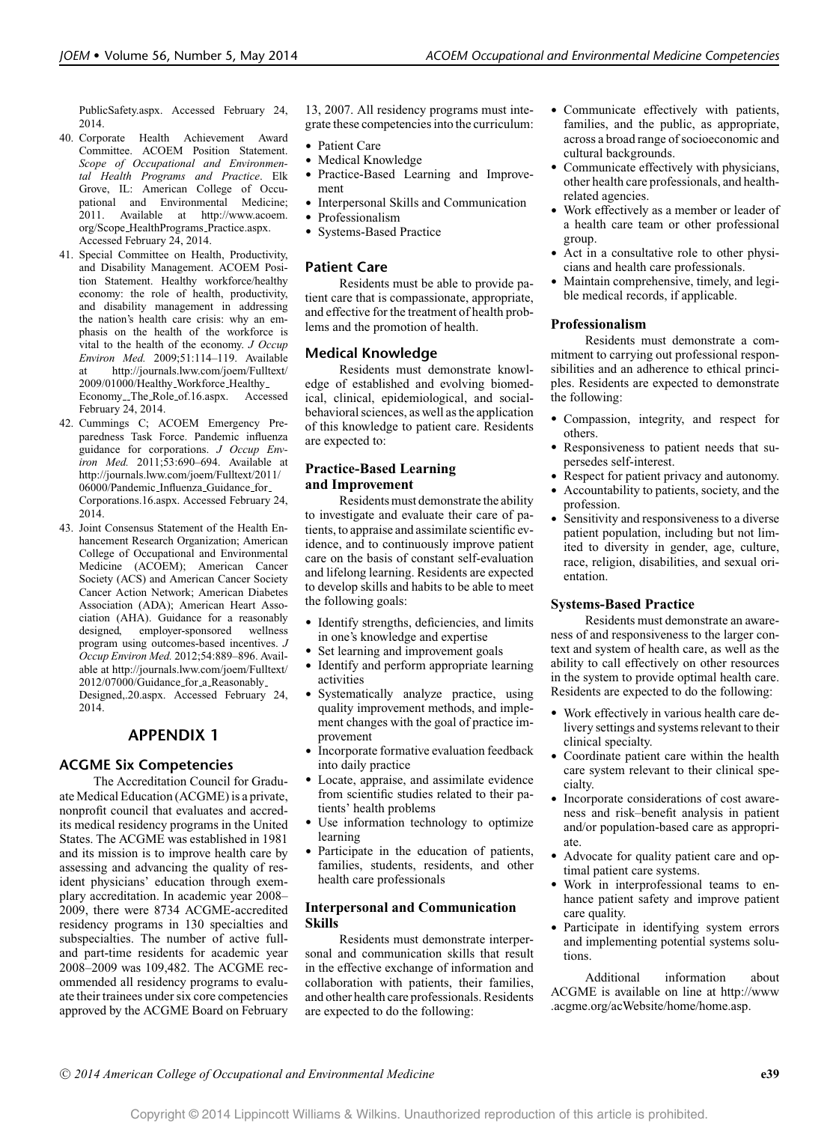[PublicSafety.aspx.](http://www.acoem.org/Transportation_PublicSafety.aspx) Accessed February 24, 2014.

- 40. Corporate Health Achievement Award Committee. ACOEM Position Statement. *Scope of Occupational and Environmental Health Programs and Practice*. Elk Grove, IL: American College of Occupational and Environmental Medicine; 2011. Available at [http://www.acoem.](http://www.acoem.org/Scope_HealthPrograms_Practice.aspx) org/Scope [HealthPrograms](http://www.acoem.org/Scope_HealthPrograms_Practice.aspx) Practice.aspx. Accessed February 24, 2014.
- 41. Special Committee on Health, Productivity, and Disability Management. ACOEM Position Statement. Healthy workforce/healthy economy: the role of health, productivity, and disability management in addressing the nation's health care crisis: why an emphasis on the health of the workforce is vital to the health of the economy. *J Occup Environ Med.* 2009;51:114–119. Available at [http://journals.lww.com/joem/Fulltext/](http://journals.lww.com/joem/Fulltext/2009/01000/Healthy_Workforce_Healthy_Economy__The_Role_of.16.aspx) [2009/01000/Healthy](http://journals.lww.com/joem/Fulltext/2009/01000/Healthy_Workforce_Healthy_Economy__The_Role_of.16.aspx) Workforce Healthy Economy\_The\_Role\_[of.16.aspx.](http://journals.lww.com/joem/Fulltext/2009/01000/Healthy_Workforce_Healthy_Economy__The_Role_of.16.aspx) Accessed February 24, 2014.
- 42. Cummings C; ACOEM Emergency Preparedness Task Force. Pandemic influenza guidance for corporations. *J Occup Environ Med.* 2011;53:690–694. Available at [http://journals.lww.com/joem/Fulltext/2011/](http://journals.lww.com/joem/Fulltext/2011/06000/Pandemic_Influenza_Guidance_for_Corporations.16.aspx) [06000/Pandemic](http://journals.lww.com/joem/Fulltext/2011/06000/Pandemic_Influenza_Guidance_for_Corporations.16.aspx) Influenza Guidance for [Corporations.16.aspx.](http://journals.lww.com/joem/Fulltext/2011/06000/Pandemic_Influenza_Guidance_for_Corporations.16.aspx) Accessed February 24, 2014.
- 43. Joint Consensus Statement of the Health Enhancement Research Organization; American College of Occupational and Environmental Medicine (ACOEM); American Cancer Society (ACS) and American Cancer Society Cancer Action Network; American Diabetes Association (ADA); American Heart Association (AHA). Guidance for a reasonably designed, employer-sponsored wellness program using outcomes-based incentives. *J Occup Environ Med.* 2012;54:889–896. Available at [http://journals.lww.com/joem/Fulltext/](http://journals.lww.com/joem/Fulltext/2012/07000/Guidance_for_a_Reasonably_Designed) [2012/07000/Guidance](http://journals.lww.com/joem/Fulltext/2012/07000/Guidance_for_a_Reasonably_Designed)\_for\_a\_Reasonably\_ [Designed,](http://journals.lww.com/joem/Fulltext/2012/07000/Guidance_for_a_Reasonably_Designed).20.aspx. Accessed February 24,

**APPENDIX 1**

# **ACGME Six Competencies**

2014.

The Accreditation Council for Graduate Medical Education (ACGME) is a private, nonprofit council that evaluates and accredits medical residency programs in the United States. The ACGME was established in 1981 and its mission is to improve health care by assessing and advancing the quality of resident physicians' education through exemplary accreditation. In academic year 2008– 2009, there were 8734 ACGME-accredited residency programs in 130 specialties and subspecialties. The number of active fulland part-time residents for academic year 2008–2009 was 109,482. The ACGME recommended all residency programs to evaluate their trainees under six core competencies approved by the ACGME Board on February

13, 2007. All residency programs must integrate these competencies into the curriculum:

- Patient Care
- Medical Knowledge
- Practice-Based Learning and Improvement
- Interpersonal Skills and Communication
- -Professionalism
- Systems-Based Practice

# **Patient Care**

Residents must be able to provide patient care that is compassionate, appropriate, and effective for the treatment of health problems and the promotion of health.

## **Medical Knowledge**

Residents must demonstrate knowledge of established and evolving biomedical, clinical, epidemiological, and socialbehavioral sciences, as well as the application of this knowledge to patient care. Residents are expected to:

### **Practice-Based Learning and Improvement**

Residents must demonstrate the ability to investigate and evaluate their care of patients, to appraise and assimilate scientific evidence, and to continuously improve patient care on the basis of constant self-evaluation and lifelong learning. Residents are expected to develop skills and habits to be able to meet the following goals:

- Identify strengths, deficiencies, and limits in one's knowledge and expertise
- -Set learning and improvement goals
- Identify and perform appropriate learning activities
- Systematically analyze practice, using quality improvement methods, and implement changes with the goal of practice improvement
- Incorporate formative evaluation feedback into daily practice
- - Locate, appraise, and assimilate evidence from scientific studies related to their patients' health problems
- Use information technology to optimize learning
- Participate in the education of patients, families, students, residents, and other health care professionals

### **Interpersonal and Communication Skills**

Residents must demonstrate interpersonal and communication skills that result in the effective exchange of information and collaboration with patients, their families, and other health care professionals. Residents are expected to do the following:

- Communicate effectively with patients, families, and the public, as appropriate, across a broad range of socioeconomic and cultural backgrounds.
- Communicate effectively with physicians, other health care professionals, and healthrelated agencies.
- Work effectively as a member or leader of a health care team or other professional group.
- Act in a consultative role to other physicians and health care professionals.
- - Maintain comprehensive, timely, and legible medical records, if applicable.

## **Professionalism**

Residents must demonstrate a commitment to carrying out professional responsibilities and an adherence to ethical principles. Residents are expected to demonstrate the following:

- Compassion, integrity, and respect for others.
- $\bullet$  Responsiveness to patient needs that supersedes self-interest.
- Respect for patient privacy and autonomy.
- - Accountability to patients, society, and the profession.
- Sensitivity and responsiveness to a diverse patient population, including but not limited to diversity in gender, age, culture, race, religion, disabilities, and sexual orientation.

### **Systems-Based Practice**

Residents must demonstrate an awareness of and responsiveness to the larger context and system of health care, as well as the ability to call effectively on other resources in the system to provide optimal health care. Residents are expected to do the following:

- - Work effectively in various health care delivery settings and systems relevant to their clinical specialty.
- Coordinate patient care within the health care system relevant to their clinical specialty.
- Incorporate considerations of cost awareness and risk–benefit analysis in patient and/or population-based care as appropriate.
- - Advocate for quality patient care and optimal patient care systems.
- Work in interprofessional teams to enhance patient safety and improve patient care quality.
- - Participate in identifying system errors and implementing potential systems solutions.

Additional information about ACGME is available on line at [http://www](http://www.acgme.org/acWebsite/home/home.asp) [.acgme.org/acWebsite/home/home.asp.](http://www.acgme.org/acWebsite/home/home.asp)